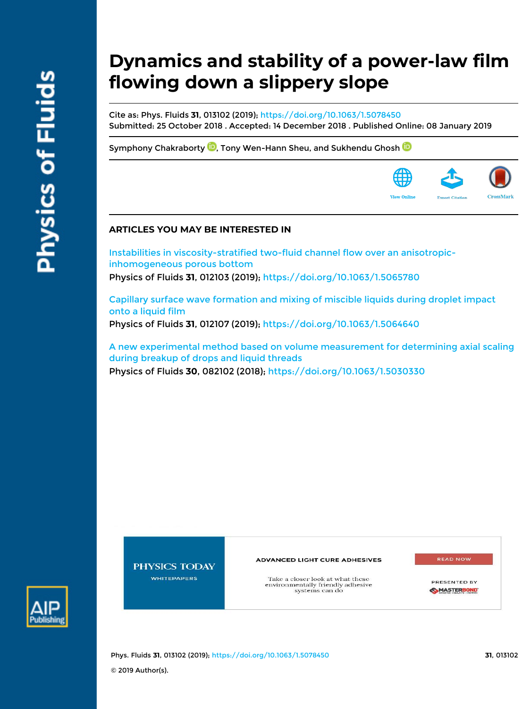# **Dynamics and stability of a power-law film flowing down a slippery slope**

Cite as: Phys. Fluids **31**, 013102 (2019); https://doi.org/10.1063/1.5078450 Submitted: 25 October 2018 . Accepted: 14 December 2018 . Published Online: 08 January 2019

Symphony Chakraborty **D**, Tony Wen-Hann Sheu, and Sukhendu Ghosh **D** 



# **ARTICLES YOU MAY BE INTERESTED IN**

Instabilities in viscosity-stratified two-fluid channel flow over an anisotropicinhomogeneous porous bottom Physics of Fluids **31**, 012103 (2019); https://doi.org/10.1063/1.5065780

Capillary surface wave formation and mixing of miscible liquids during droplet impact onto a liquid film Physics of Fluids **31**, 012107 (2019); https://doi.org/10.1063/1.5064640

A new experimental method based on volume measurement for determining axial scaling during breakup of drops and liquid threads Physics of Fluids **30**, 082102 (2018); https://doi.org/10.1063/1.5030330



**PHYSICS TODAY** 

**WHITEPAPERS** 

#### **ADVANCED LIGHT CURE ADHESIVES**

**READ NOW** 

Take a closer look at what these environmentally friendly adhesive<br>systems can do

PRESENTED BY **SMASTERBOND**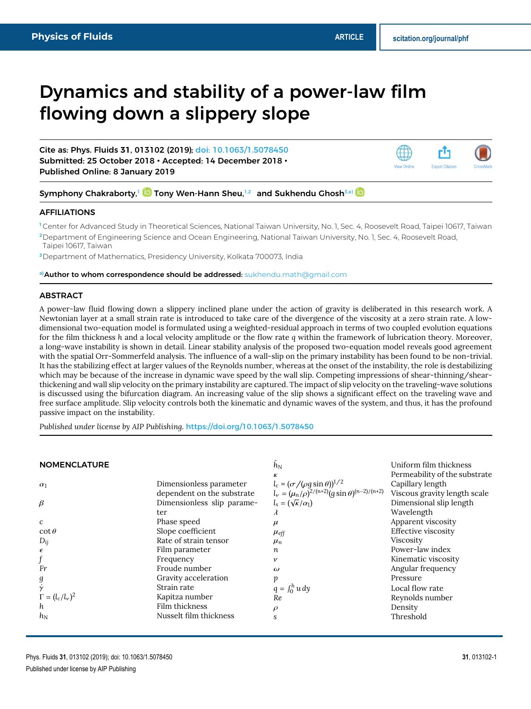# Dynamics and stability of a power-law film flowing down a slippery slope

Cite as: Phys. Fluids **31**, 013102 (2019); doi: 10.1063/1.5078450 Submitted: 25 October 2018 • Accepted: 14 December 2018 • Published Online: 8 January 2019



<sup>N</sup> Uniform film thickness

# Symphony Chakraborty,<sup>1</sup> **D** Tony Wen-Hann Sheu,<sup>1,2</sup> and Sukhendu Ghosh<sup>3,a)</sup>

# AFFILIATIONS

**<sup>1</sup>** Center for Advanced Study in Theoretical Sciences, National Taiwan University, No. 1, Sec. 4, Roosevelt Road, Taipei 10617, Taiwan **<sup>2</sup>**Department of Engineering Science and Ocean Engineering, National Taiwan University, No. 1, Sec. 4, Roosevelt Road,

Taipei 10617, Taiwan

**<sup>3</sup>**Department of Mathematics, Presidency University, Kolkata 700073, India

**a)**Author to whom correspondence should be addressed: sukhendu.math@gmail.com

# ABSTRACT

A power-law fluid flowing down a slippery inclined plane under the action of gravity is deliberated in this research work. A Newtonian layer at a small strain rate is introduced to take care of the divergence of the viscosity at a zero strain rate. A lowdimensional two-equation model is formulated using a weighted-residual approach in terms of two coupled evolution equations for the film thickness *h* and a local velocity amplitude or the flow rate *q* within the framework of lubrication theory. Moreover, a long-wave instability is shown in detail. Linear stability analysis of the proposed two-equation model reveals good agreement with the spatial Orr-Sommerfeld analysis. The influence of a wall-slip on the primary instability has been found to be non-trivial. It has the stabilizing effect at larger values of the Reynolds number, whereas at the onset of the instability, the role is destabilizing which may be because of the increase in dynamic wave speed by the wall slip. Competing impressions of shear-thinning/shearthickening and wall slip velocity on the primary instability are captured. The impact of slip velocity on the traveling-wave solutions is discussed using the bifurcation diagram. An increasing value of the slip shows a significant effect on the traveling wave and free surface amplitude. Slip velocity controls both the kinematic and dynamic waves of the system, and thus, it has the profound passive impact on the instability.

*Published under license by AIP Publishing.* https://doi.org/10.1063/1.5078450

# **NOMENCLATURE**

|                            |                            | к                                                                                                               | Permeability of the substrate |
|----------------------------|----------------------------|-----------------------------------------------------------------------------------------------------------------|-------------------------------|
| $\alpha_1$                 | Dimensionless parameter    |                                                                                                                 | Capillary length              |
|                            | dependent on the substrate | $l_c = (\sigma / (\rho g \sin \theta))^{1/2}$<br>$l_v = (\mu_n / \rho)^{2/(n+2)} (g \sin \theta)^{(n-2)/(n+2)}$ | Viscous gravity length scale  |
| $\beta$                    | Dimensionless slip parame- | $l_s = (\sqrt{\kappa}/\alpha_1)$                                                                                | Dimensional slip length       |
|                            | ter                        |                                                                                                                 | Wavelength                    |
| $\mathcal{C}$              | Phase speed                | $\mu$                                                                                                           | Apparent viscosity            |
| $\cot \theta$              | Slope coefficient          | $\mu_{\text{eff}}$                                                                                              | Effective viscosity           |
| $D_{ij}$                   | Rate of strain tensor      | $\mu_n$                                                                                                         | Viscosity                     |
| $\epsilon$                 | Film parameter             | n                                                                                                               | Power-law index               |
|                            | Frequency                  | ν                                                                                                               | Kinematic viscosity           |
| Fr                         | Froude number              | $\omega$                                                                                                        | Angular frequency             |
|                            | Gravity acceleration       | p                                                                                                               | Pressure                      |
| $\frac{g}{\dot{\gamma}}$   | Strain rate                | $q = \int_0^h u \, dy$                                                                                          | Local flow rate               |
| $\Gamma = (l_c/l_{\nu})^2$ | Kapitza number             | Re                                                                                                              | Reynolds number               |
| h                          | Film thickness             | $\rho$                                                                                                          | Density                       |
| $h_{\rm N}$                | Nusselt film thickness     |                                                                                                                 | Threshold                     |
|                            |                            |                                                                                                                 |                               |

 $h_{\rm N}$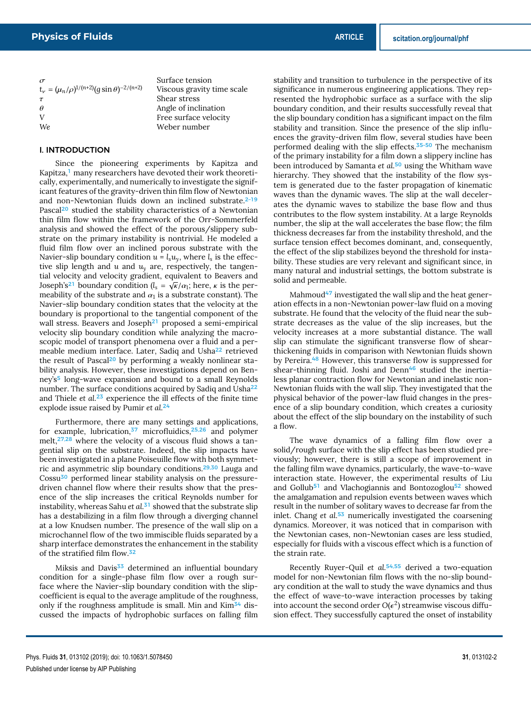| $\sigma$                                                  | Suri |
|-----------------------------------------------------------|------|
| $t_v = (\mu_n/\rho)^{1/(n+2)} (g \sin \theta)^{-2/(n+2)}$ | Visc |
| $\tau$                                                    | She  |
| Ĥ                                                         | Ang  |
| V                                                         | Free |
| We.                                                       | Wel  |

# I. INTRODUCTION

face tension <sup>−</sup>2/(*n*+2) Viscous gravity time scale ar stress de of inclination e surface velocity ber number

Since the pioneering experiments by Kapitza and Kapitza,<sup>1</sup> many researchers have devoted their work theoretically, experimentally, and numerically to investigate the significant features of the gravity-driven thin film flow of Newtonian and non-Newtonian fluids down an inclined substrate.<sup>2-19</sup> Pascal<sup>20</sup> studied the stability characteristics of a Newtonian thin film flow within the framework of the Orr-Sommerfeld analysis and showed the effect of the porous/slippery substrate on the primary instability is nontrivial. He modeled a fluid film flow over an inclined porous substrate with the Navier-slip boundary condition  $u = l_s u_v$ , where  $l_s$  is the effective slip length and  $u$  and  $u<sub>y</sub>$  are, respectively, the tangential velocity and velocity gradient, equivalent to Beavers and Joseph's<sup>21</sup> boundary condition ( $l_s = \sqrt{\kappa/\alpha_1}$ ; here,  $\kappa$  is the permeability of the substrate and  $\alpha_1$  is a substrate constant). The Navier-slip boundary condition states that the velocity at the boundary is proportional to the tangential component of the wall stress. Beavers and Joseph<sup>21</sup> proposed a semi-empirical velocity slip boundary condition while analyzing the macroscopic model of transport phenomena over a fluid and a permeable medium interface. Later, Sadiq and Usha<sup>22</sup> retrieved the result of Pascal<sup>20</sup> by performing a weakly nonlinear stability analysis. However, these investigations depend on Benney's<sup>5</sup> long-wave expansion and bound to a small Reynolds number. The surface conditions acquired by Sadiq and Usha<sup>22</sup> and Thiele *et al.*<sup>23</sup> experience the ill effects of the finite time explode issue raised by Pumir *et al.*<sup>24</sup>

Furthermore, there are many settings and applications, for example, lubrication, $37$  microfluidics, $25,26$  and polymer melt,27,28 where the velocity of a viscous fluid shows a tangential slip on the substrate. Indeed, the slip impacts have been investigated in a plane Poiseuille flow with both symmetric and asymmetric slip boundary conditions.29,30 Lauga and Cossu<sup>30</sup> performed linear stability analysis on the pressuredriven channel flow where their results show that the presence of the slip increases the critical Reynolds number for instability, whereas Sahu *et al.*<sup>31</sup> showed that the substrate slip has a destabilizing in a film flow through a diverging channel at a low Knudsen number. The presence of the wall slip on a microchannel flow of the two immiscible fluids separated by a sharp interface demonstrates the enhancement in the stability of the stratified film flow.<sup>32</sup>

Miksis and Davis $33$  determined an influential boundary condition for a single-phase film flow over a rough surface where the Navier-slip boundary condition with the slipcoefficient is equal to the average amplitude of the roughness, only if the roughness amplitude is small. Min and Kim<sup>34</sup> discussed the impacts of hydrophobic surfaces on falling film

stability and transition to turbulence in the perspective of its significance in numerous engineering applications. They represented the hydrophobic surface as a surface with the slip boundary condition, and their results successfully reveal that the slip boundary condition has a significant impact on the film stability and transition. Since the presence of the slip influences the gravity-driven film flow, several studies have been performed dealing with the slip effects.<sup>35-50</sup> The mechanism of the primary instability for a film down a slippery incline has been introduced by Samanta *et al.*<sup>50</sup> using the Whitham wave hierarchy. They showed that the instability of the flow system is generated due to the faster propagation of kinematic waves than the dynamic waves. The slip at the wall decelerates the dynamic waves to stabilize the base flow and thus contributes to the flow system instability. At a large Reynolds number, the slip at the wall accelerates the base flow; the film thickness decreases far from the instability threshold, and the surface tension effect becomes dominant, and, consequently, the effect of the slip stabilizes beyond the threshold for instability. These studies are very relevant and significant since, in many natural and industrial settings, the bottom substrate is solid and permeable.

Mahmoud<sup>47</sup> investigated the wall slip and the heat generation effects in a non-Newtonian power-law fluid on a moving substrate. He found that the velocity of the fluid near the substrate decreases as the value of the slip increases, but the velocity increases at a more substantial distance. The wall slip can stimulate the significant transverse flow of shearthickening fluids in comparison with Newtonian fluids shown by Pereira.<sup>48</sup> However, this transverse flow is suppressed for shear-thinning fluid. Joshi and Denn<sup>46</sup> studied the inertialess planar contraction flow for Newtonian and inelastic non-Newtonian fluids with the wall slip. They investigated that the physical behavior of the power-law fluid changes in the presence of a slip boundary condition, which creates a curiosity about the effect of the slip boundary on the instability of such a flow.

The wave dynamics of a falling film flow over a solid/rough surface with the slip effect has been studied previously; however, there is still a scope of improvement in the falling film wave dynamics, particularly, the wave-to-wave interaction state. However, the experimental results of Liu and Gollub<sup>51</sup> and Vlachogiannis and Bontozoglou<sup>52</sup> showed the amalgamation and repulsion events between waves which result in the number of solitary waves to decrease far from the inlet. Chang *et al.*<sup>53</sup> numerically investigated the coarsening dynamics. Moreover, it was noticed that in comparison with the Newtonian cases, non-Newtonian cases are less studied, especially for fluids with a viscous effect which is a function of the strain rate.

Recently Ruyer-Quil *et al.*54,55 derived a two-equation model for non-Newtonian film flows with the no-slip boundary condition at the wall to study the wave dynamics and thus the effect of wave-to-wave interaction processes by taking into account the second order  $O(\epsilon^2)$  streamwise viscous diffusion effect. They successfully captured the onset of instability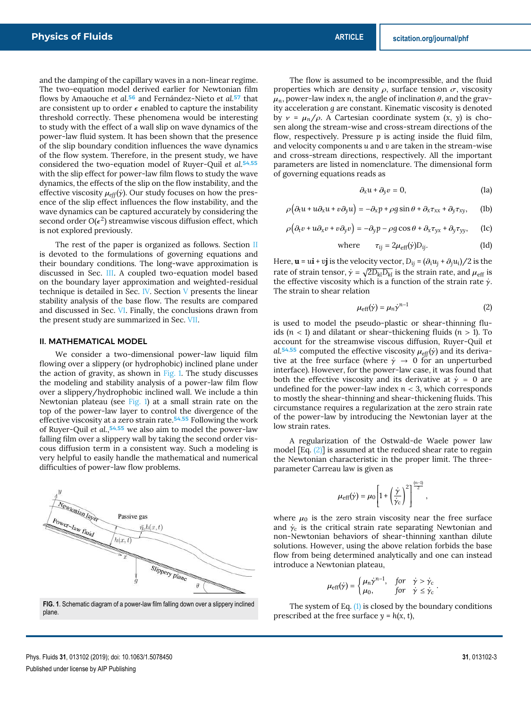and the damping of the capillary waves in a non-linear regime. The two-equation model derived earlier for Newtonian film flows by Amaouche et al.<sup>56</sup> and Fernández-Nieto et al.<sup>57</sup> that are consistent up to order  $\epsilon$  enabled to capture the instability threshold correctly. These phenomena would be interesting to study with the effect of a wall slip on wave dynamics of the power-law fluid system. It has been shown that the presence of the slip boundary condition influences the wave dynamics of the flow system. Therefore, in the present study, we have considered the two-equation model of Ruyer-Quil *et al.*54,55 with the slip effect for power-law film flows to study the wave dynamics, the effects of the slip on the flow instability, and the effective viscosity  $\mu_{\text{eff}}(\gamma)$ . Our study focuses on how the presence of the slip effect influences the flow instability, and the wave dynamics can be captured accurately by considering the

The rest of the paper is organized as follows. Section II is devoted to the formulations of governing equations and their boundary conditions. The long-wave approximation is discussed in Sec. III. A coupled two-equation model based on the boundary layer approximation and weighted-residual technique is detailed in Sec. IV. Section  $V$  presents the linear stability analysis of the base flow. The results are compared and discussed in Sec. VI. Finally, the conclusions drawn from the present study are summarized in Sec. VII.

second order  $O(\epsilon^2)$  streamwise viscous diffusion effect, which

#### II. MATHEMATICAL MODEL

is not explored previously.

We consider a two-dimensional power-law liquid film flowing over a slippery (or hydrophobic) inclined plane under the action of gravity, as shown in Fig. 1. The study discusses the modeling and stability analysis of a power-law film flow over a slippery/hydrophobic inclined wall. We include a thin Newtonian plateau (see Fig. 1) at a small strain rate on the top of the power-law layer to control the divergence of the effective viscosity at a zero strain rate.54,55 Following the work of Ruyer-Quil *et al.*, 54,55 we also aim to model the power-law falling film over a slippery wall by taking the second order viscous diffusion term in a consistent way. Such a modeling is very helpful to easily handle the mathematical and numerical difficulties of power-law flow problems.



**FIG. 1**. Schematic diagram of a power-law film falling down over a slippery inclined plane.

The flow is assumed to be incompressible, and the fluid properties which are density  $\rho$ , surface tension  $\sigma$ , viscosity  $\mu_n$ , power-law index *n*, the angle of inclination  $\theta$ , and the gravity acceleration *g* are constant. Kinematic viscosity is denoted by  $v = \mu_n / \rho$ . A Cartesian coordinate system  $(x, y)$  is chosen along the stream-wise and cross-stream directions of the flow, respectively. Pressure  $p$  is acting inside the fluid film, and velocity components *u* and *v* are taken in the stream-wise and cross-stream directions, respectively. All the important parameters are listed in nomenclature. The dimensional form of governing equations reads as

$$
\partial_x u + \partial_y v = 0, \tag{1a}
$$

$$
\rho(\partial_t u + u \partial_x u + v \partial_y u) = -\partial_x p + \rho g \sin \theta + \partial_x \tau_{xx} + \partial_y \tau_{xy}, \quad \text{(1b)}
$$

$$
\rho(\partial_t v + u \partial_x v + v \partial_y v) = -\partial_y p - \rho g \cos \theta + \partial_x \tau_{yx} + \partial_y \tau_{yy}, \qquad (1c)
$$

where 
$$
\tau_{ij} = 2\mu_{eff}(\dot{\gamma})D_{ij}
$$
. (1d)

Here,  $\mathbf{u} = u\mathbf{i} + v\mathbf{j}$  is the velocity vector,  $D_{ij} = (\partial_i u_j + \partial_j u_i)/2$  is the rate of strain tensor,  $\dot{\gamma} = \sqrt{2D_{kl}D_{kl}}$  is the strain rate, and  $\mu_{\rm eff}$  is the effective viscosity which is a function of the strain rate  $\dot{\gamma}$ . The strain to shear relation

$$
\mu_{\rm eff}(\dot{\gamma}) = \mu_n \dot{\gamma}^{n-1} \tag{2}
$$

is used to model the pseudo-plastic or shear-thinning fluids (*n* < 1) and dilatant or shear-thickening fluids (*n* > 1). To account for the streamwise viscous diffusion, Ruyer-Quil *et al.*<sup>54,55</sup> computed the effective viscosity  $\mu_{eff}(\vec{v})$  and its derivative at the free surface (where  $\dot{\gamma} \rightarrow 0$  for an unperturbed interface). However, for the power-law case, it was found that both the effective viscosity and its derivative at  $\dot{\gamma} = 0$  are undefined for the power-law index  $n < 3$ , which corresponds to mostly the shear-thinning and shear-thickening fluids. This circumstance requires a regularization at the zero strain rate of the power-law by introducing the Newtonian layer at the low strain rates.

A regularization of the Ostwald-de Waele power law model [Eq. (2)] is assumed at the reduced shear rate to regain the Newtonian characteristic in the proper limit. The threeparameter Carreau law is given as

$$
\mu_{\rm eff}(\dot{\gamma}) = \mu_0 \left[ 1 + \left( \frac{\dot{\gamma}}{\dot{\gamma}_c} \right)^2 \right]^{\frac{(n-1)}{2}},
$$

where  $\mu_0$  is the zero strain viscosity near the free surface and  $\dot{\gamma}_c$  is the critical strain rate separating Newtonian and non-Newtonian behaviors of shear-thinning xanthan dilute solutions. However, using the above relation forbids the base flow from being determined analytically and one can instead introduce a Newtonian plateau,

$$
\mu_{\text{eff}}(\dot{\mathbf{y}}) = \begin{cases} \mu_n \dot{\mathbf{y}}^{n-1}, & \text{for } \dot{\mathbf{y}} > \dot{\mathbf{y}}_{\text{c}} \\ \mu_0, & \text{for } \dot{\mathbf{y}} \leq \dot{\mathbf{y}}_{\text{c}} \end{cases}.
$$

The system of Eq.  $(1)$  is closed by the boundary conditions prescribed at the free surface  $y = h(x, t)$ ,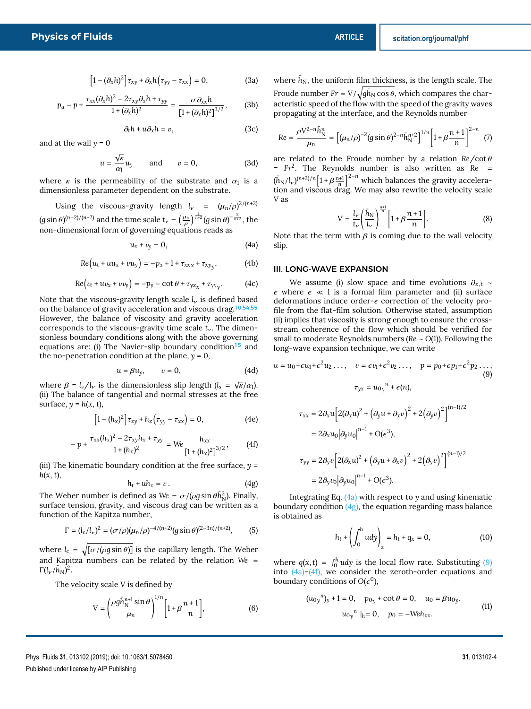$$
\left[1-(\partial_{x}h)^{2}\right]\tau_{xy}+\partial_{x}h\left(\tau_{yy}-\tau_{xx}\right)=0,
$$
 (3a)

$$
p_a - p + \frac{\tau_{xx}(\partial_x h)^2 - 2\tau_{xy}\partial_x h + \tau_{yy}}{1 + (\partial_x h)^2} = \frac{\sigma \partial_{xx} h}{\left[1 + (\partial_x h)^2\right]^{3/2}},
$$
 (3b)

$$
\partial_t h + u \partial_x h = v,\tag{3c}
$$

and at the wall  $y = 0$ 

$$
u = \frac{\sqrt{\kappa}}{\alpha_1} u_y \quad \text{and} \quad v = 0,
$$
 (3d)

where  $\kappa$  is the permeability of the substrate and  $\alpha_1$  is a dimensionless parameter dependent on the substrate.

Using the viscous-gravity length  $l_v = (\mu_n/\rho)^{2/(n+2)}$  $(g \sin \theta)^{(n-2)/(n+2)}$  and the time scale  $t_v = \left(\frac{\mu_n}{\rho}\right)^{\frac{1}{n+2}} (g \sin \theta)^{-\frac{2}{n+2}}$ , the non-dimensional form of governing equations reads as

$$
u_x + v_y = 0, \tag{4a}
$$

$$
Re(u_t + uu_x + vu_y) = -p_x + 1 + \tau_{xxx} + \tau_{xyy}, \qquad (4b)
$$

$$
Re(v_t + uv_x + vv_y) = -p_y - \cot \theta + \tau_{yx_x} + \tau_{yy_y}.
$$
 (4c)

Note that the viscous-gravity length scale  $l<sub>v</sub>$  is defined based on the balance of gravity acceleration and viscous drag.10,54,55 However, the balance of viscosity and gravity acceleration corresponds to the viscous-gravity time scale  $t<sub>Y</sub>$ . The dimensionless boundary conditions along with the above governing equations are: (i) The Navier-slip boundary condition<sup>15</sup> and the no-penetration condition at the plane,  $y = 0$ ,

$$
u = \beta u_y, \qquad v = 0,
$$
 (4d)

where  $\beta = l_s/l_v$  is the dimensionless slip length  $(l_s = \sqrt{\kappa}/\alpha_1)$ . (ii) The balance of tangential and normal stresses at the free surface,  $y = h(x, t)$ ,

$$
[1 - (h_x)^2] \tau_{xy} + h_x (\tau_{yy} - \tau_{xx}) = 0, \qquad (4e)
$$

$$
-p + \frac{\tau_{xx}(h_x)^2 - 2\tau_{xy}h_x + \tau_{yy}}{1 + (h_x)^2} = \text{We} \frac{h_{xx}}{\left[1 + (h_x)^2\right]^{3/2}},\tag{4f}
$$

(iii) The kinematic boundary condition at the free surface,  $y =$ *h*(*x*, *t*),

$$
h_t + uh_x = v. \t\t(4g)
$$

The Weber number is defined as  $We = \sigma / (\rho g \sin \theta \bar{h}_{N}^2)$ . Finally, surface tension, gravity, and viscous drag can be written as a function of the Kapitza number,

$$
\Gamma = (l_c/l_v)^2 = (\sigma/\rho)(\mu_n/\rho)^{-4/(n+2)}(g\sin\theta)^{(2-3n)/(n+2)},\tag{5}
$$

where  $l_c = \sqrt{[\sigma/(\rho g \sin \theta)]}$  is the capillary length. The Weber and Kapitza numbers can be related by the relation *We* =  $\Gamma(l_{\nu}/\bar{h}_{\rm N})^2$ .

The velocity scale *V* is defined by

$$
V = \left(\frac{\rho g \bar{h}_{N}^{n+1} \sin \theta}{\mu_{n}}\right)^{1/n} \left[1 + \beta \frac{n+1}{n}\right],\tag{6}
$$

where  $\tilde{h}_{\rm N}$ , the uniform film thickness, is the length scale. The Froude number  $Fr = V/\sqrt{g\bar{h}_\mathrm{N}\cos\theta},$  which compares the characteristic speed of the flow with the speed of the gravity waves propagating at the interface, and the Reynolds number

$$
\text{Re} = \frac{\rho V^{2-n} \bar{h}_{N}^{n}}{\mu_{n}} = \left[ (\mu_{n}/\rho)^{-2} (g \sin \theta)^{2-n} \bar{h}_{N}^{n+2} \right]^{1/n} \left[ 1 + \beta \frac{n+1}{n} \right]^{2-n} \tag{7}
$$

are related to the Froude number by a relation *Re*/cot θ = *Fr*<sup>2</sup> . The Reynolds number is also written as *Re* =  $(\bar{h}_{\rm N}/l_{\nu})^{(n+2)/n}\Bigl[1+\beta\frac{n+1}{n}\Bigr]^{2-n}$  which balances the gravity acceleration and viscous drag. We may also rewrite the velocity scale *V* as

$$
V = \frac{l_{\nu}}{t_{\nu}} \left(\frac{\bar{h}_{N}}{l_{\nu}}\right)^{\frac{n+1}{n}} \left[1 + \beta \frac{n+1}{n}\right].
$$
 (8)

Note that the term with  $\beta$  is coming due to the wall velocity slip.

#### III. LONG-WAVE EXPANSION

We assume (i) slow space and time evolutions ∂*x*,*<sup>t</sup>* ∼  $\epsilon$  where  $\epsilon \ll 1$  is a formal film parameter and (ii) surface deformations induce order- $\epsilon$  correction of the velocity profile from the flat-film solution. Otherwise stated, assumption (ii) implies that viscosity is strong enough to ensure the crossstream coherence of the flow which should be verified for small to moderate Reynolds numbers (*Re* ∼ *O*(1)). Following the long-wave expansion technique, we can write

$$
u = u_0 + \epsilon u_1 + \epsilon^2 u_2 \dots, \quad v = \epsilon v_1 + \epsilon^2 v_2 \dots, \quad p = p_0 + \epsilon p_1 + \epsilon^2 p_2 \dots,
$$
  
\n(9)  
\n
$$
\tau_{yx} = u_{0y}{}^n + \epsilon(n),
$$
  
\n
$$
\tau_{xx} = 2\partial_x u \Big[ 2(\partial_x u)^2 + (\partial_y u + \partial_x v)^2 + 2(\partial_y v)^2 \Big]^{(n-1)/2}
$$
  
\n
$$
= 2\partial_x u_0 \Big[\partial_y u_0\Big]^{n-1} + O(\epsilon^3),
$$
  
\n
$$
\tau_{yy} = 2\partial_y v \Big[ 2(\partial_x u)^2 + (\partial_y u + \partial_x v)^2 + 2(\partial_y v)^2 \Big]^{(n-1)/2}
$$
  
\n
$$
= 2\partial_y v_0 \Big[\partial_y u_0\Big]^{n-1} + O(\epsilon^3).
$$

Integrating Eq. (4a) with respect to *y* and using kinematic boundary condition (4g), the equation regarding mass balance is obtained as

$$
h_t + \left(\int_0^h u dy\right)_x = h_t + q_x = 0, \tag{10}
$$

where  $q(x, t) = \int_0^h u dy$  is the local flow rate. Substituting (9) into  $(4a)$ – $(4f)$ , we consider the zeroth-order equations and boundary conditions of  $O(\epsilon^0)$ ,

$$
(u_{0y}^n)_y + 1 = 0, \quad p_{0y} + \cot \theta = 0, \quad u_0 = \beta u_{0y},
$$
  

$$
u_{0y}^n |_{h} = 0, \quad p_0 = -\text{Weh}_{xx}.
$$
 (11)

Phys. Fluids **31**, 013102 (2019); doi: 10.1063/1.5078450 **31**, 013102-4 Published under license by AIP Publishing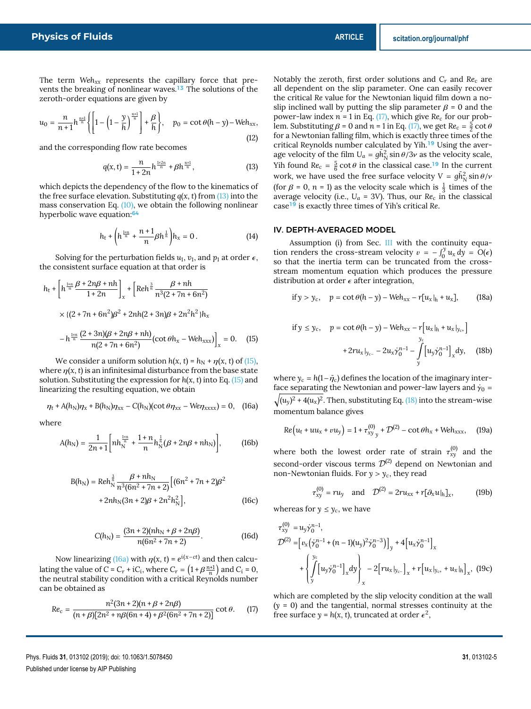The term *Wehxx* represents the capillary force that prevents the breaking of nonlinear waves.<sup>13</sup> The solutions of the zeroth-order equations are given by

$$
u_0 = \frac{n}{n+1}h^{\frac{n+1}{n}}\left\{ \left[1-\left(1-\frac{y}{h}\right)^{\frac{n+1}{n}}\right] + \frac{\beta}{h}\right\}, \quad p_0 = \cot\theta(h-y) - \text{Weh}_{xx},\tag{12}
$$

and the corresponding flow rate becomes

$$
q(x,t) = \frac{n}{1+2n}h^{\frac{1+2n}{n}} + \beta h^{\frac{n+1}{n}},
$$
\n(13)

which depicts the dependency of the flow to the kinematics of the free surface elevation. Substituting  $q(x, t)$  from  $(13)$  into the mass conservation Eq.  $(10)$ , we obtain the following nonlinear hyperbolic wave equation:<sup>64</sup>

$$
h_t + \left(h^{\frac{1+n}{n}} + \frac{n+1}{n} \beta h^{\frac{1}{n}}\right) h_x = 0.
$$
 (14)

Solving for the perturbation fields  $u_1$ ,  $v_1$ , and  $p_1$  at order  $\epsilon$ , the consistent surface equation at that order is

$$
h_{t} + \left[ h^{\frac{1+n}{n}} \frac{\beta + 2n\beta + nh}{1 + 2n} \right]_{x} + \left[ Reh^{\frac{3}{n}} \frac{\beta + nh}{n^{3}(2 + 7n + 6n^{2})} \times \left\{ (2 + 7n + 6n^{2})\beta^{2} + 2nh(2 + 3n)\beta + 2n^{2}h^{2} \right\} h_{x}
$$

$$
- h^{\frac{1+n}{n}} \frac{(2 + 3n)(\beta + 2n\beta + nh)}{n(2 + 7n + 6n^{2})} \left( \cot \theta h_{x} - Weh_{xxx} \right) \Big|_{x} = 0. \quad (15)
$$

We consider a uniform solution  $h(x, t) = h_N + \eta(x, t)$  of (15), where  $\eta(x, t)$  is an infinitesimal disturbance from the base state solution. Substituting the expression for *h*(*x*, *t*) into Eq. (15) and linearizing the resulting equation, we obtain

$$
\eta_t + A(h_N)\eta_x + B(h_N)\eta_{xx} - C(h_N)(\cot\theta\eta_{xx} - W\theta\eta_{xxxx}) = 0, \quad (16a)
$$

where

$$
A(h_N) = \frac{1}{2n+1} \bigg[ nh_N^{\frac{1+n}{n}} + \frac{1+n}{n} h_N^{\frac{1}{n}} (\beta + 2n\beta + nh_N) \bigg],
$$
 (16b)

$$
B(h_N) = Reh_N^{\frac{3}{n}} \frac{\beta + nh_N}{n^3(6n^2 + 7n + 2)} \Big[ (6n^2 + 7n + 2)\beta^2 + 2nh_N(3n + 2)\beta + 2n^2h_N^2 \Big],
$$
 (16c)

$$
C(h_N) = \frac{(3n+2)(nh_N + \beta + 2n\beta)}{n(6n^2 + 7n + 2)}.
$$
 (16d)

Now linearizing (16a) with  $\eta(x, t) = e^{i(x - ct)}$  and then calculating the value of  $C = C_r + iC_i$ , where  $C_r = \left(1 + \beta \frac{n+1}{n}\right)$  and  $C_i = 0$ , the neutral stability condition with a critical Reynolds number can be obtained as

$$
Re_c = \frac{n^2(3n+2)(n+\beta+2n\beta)}{(n+\beta)[2n^2+n\beta(6n+4)+\beta^2(6n^2+7n+2)]}\cot\theta.
$$
 (17)

Notably the zeroth, first order solutions and *C<sup>r</sup>* and *Re<sup>c</sup>* are all dependent on the slip parameter. One can easily recover the critical *Re* value for the Newtonian liquid film down a noslip inclined wall by putting the slip parameter  $\beta = 0$  and the power-law index *n* = 1 in Eq. (17), which give *Re<sup>c</sup>* for our problem. Substituting  $\beta = 0$  and  $n = 1$  in Eq. (17), we get  $Re_c = \frac{5}{2} \cot \theta$ for a Newtonian falling film, which is exactly three times of the critical Reynolds number calculated by Yih.<sup>19</sup> Using the average velocity of the film  $U_a = g\bar{h}^2_N \sin \theta / 3\nu$  as the velocity scale, Yih found  $Re_c = \frac{5}{6} \cot \theta$  in the classical case.<sup>19</sup> In the current work, we have used the free surface velocity  $V = g\bar{h}^2_N \sin \theta / \nu$ (for  $\beta = 0$ ,  $n = 1$ ) as the velocity scale which is  $\frac{1}{3}$  times of the average velocity (i.e.,  $U_a = 3V$ ). Thus, our  $Re_c$  in the classical case<sup>19</sup> is exactly three times of Yih's critical *Re*.

#### IV. DEPTH-AVERAGED MODEL

Assumption (i) from Sec. III with the continuity equation renders the cross-stream velocity  $v = -\int_0^y$  $\int_0^y u_x \, dy = O(\epsilon)$ so that the inertia term can be truncated from the crossstream momentum equation which produces the pressure distribution at order  $\epsilon$  after integration,

$$
\text{if } y > y_c, \quad p = \cot \theta (h - y) - \text{We} h_{xx} - r[u_x]_h + u_x], \tag{18a}
$$

if 
$$
y \le y_c
$$
,  $p = \cot \theta (h - y) - \text{Weh}_{xx} - r[u_x|_{h} + u_x|_{y_{c^*}}]$   
  $+ 2ru_x|_{y_{c^-}} - 2u_x \dot{y}_0^{n-1} - \int_y^{y_c} [u_y \dot{y}_0^{n-1}]_x dy$ , (18b)

where  $y_c = h(1-\bar{\eta}_c)$  defines the location of the imaginary interface separating the Newtonian and power-law layers and  $\dot{\gamma}_0$  =  $\sqrt{(u_y)^2 + 4(u_x)^2}$ . Then, substituting Eq. (18) into the stream-wise momentum balance gives

$$
Re(u_t + uu_x + vu_y) = 1 + \tau_{xy}^{(0)} + \mathcal{D}^{(2)} - \cot \theta h_x + \text{Weh}_{xxx}, \quad (19a)
$$

where both the lowest order rate of strain  $\tau_{xy}^{(0)}$  and the second-order viscous terms  $\mathcal{D}^{(2)}$  depend on Newtonian and non-Newtonian fluids. For  $y > y_c$ , they read

$$
\tau_{xy}^{(0)} = ru_y \quad \text{and} \quad \mathcal{D}^{(2)} = 2ru_{xx} + r[\partial_x u|_{h}]_x, \tag{19b}
$$

whereas for  $y \leq y_c$ , we have

$$
\tau_{xy}^{(0)} = u_y \dot{\gamma}_0^{n-1},
$$
\n
$$
\mathcal{D}^{(2)} = \left[ v_x \left( \dot{\gamma}_0^{n-1} + (n-1)(u_y)^2 \dot{\gamma}_0^{n-3} \right) \right]_y + 4 \left[ u_x \dot{\gamma}_0^{n-1} \right]_x
$$
\n
$$
+ \left\{ \int_y^{y_c} \left[ u_y \dot{\gamma}_0^{n-1} \right]_x dy \right\}_x - 2 \left[ r u_x \left|_{y_c} \right]_x + r \left[ u_x \left|_{y_{c+}} + u_x \right|_{h} \right]_x, \quad (19c)
$$

which are completed by the slip velocity condition at the wall (*y* = 0) and the tangential, normal stresses continuity at the free surface  $y = h(x, t)$ , truncated at order  $\epsilon^2$ ,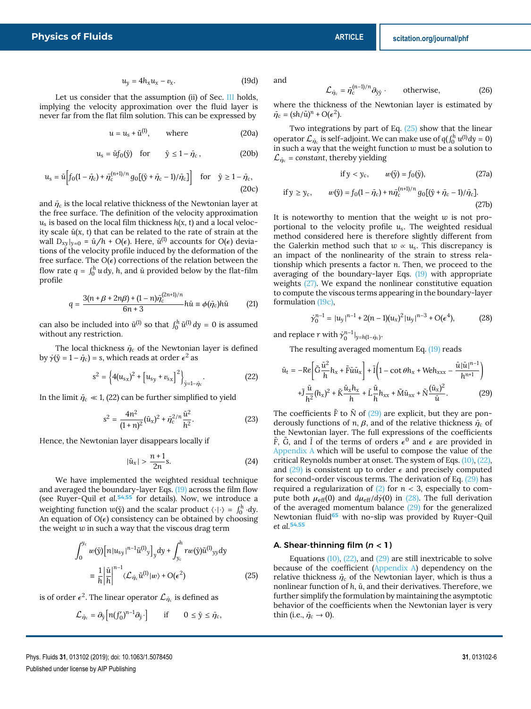$$
u_y = 4h_x u_x - v_x. \tag{19d}
$$

Let us consider that the assumption (ii) of Sec. III holds, implying the velocity approximation over the fluid layer is never far from the flat film solution. This can be expressed by

$$
u = u_s + \tilde{u}^{(1)}, \qquad \text{where} \tag{20a}
$$

$$
u_{s} = \bar{u}f_{0}(\bar{y}) \quad \text{for} \qquad \bar{y} \leq 1 - \bar{\eta}_{c} \,, \tag{20b}
$$

$$
u_{s} = \bar{u} \Big[ f_{0} (1 - \bar{\eta}_{c}) + \bar{\eta}_{c}^{(n+1)/n} g_{0} [(\bar{y} + \bar{\eta}_{c} - 1)/\bar{\eta}_{c}] \Big] \text{ for } \bar{y} \ge 1 - \bar{\eta}_{c}, \tag{20c}
$$

and  $\bar{\eta}_c$  is the local relative thickness of the Newtonian layer at the free surface. The definition of the velocity approximation *u<sup>s</sup>* is based on the local film thickness *h*(*x*, *t*) and a local velocity scale  $\bar{u}(x, t)$  that can be related to the rate of strain at the wall  $D_{xy}|_{y=0} = \bar{u}/h + O(\epsilon)$ . Here,  $\tilde{u}^{(1)}$  accounts for  $O(\epsilon)$  deviations of the velocity profile induced by the deformation of the free surface. The  $O(\epsilon)$  corrections of the relation between the flow rate  $q = \int_0^h u \, dy$ , *h*, and  $\bar{u}$  provided below by the flat-film profile

$$
q = \frac{3(n+\beta+2n\beta)+(1-n)\bar{\eta}_c^{(2n+1)/n}}{6n+3}h\bar{u} \equiv \phi(\bar{\eta}_c)h\bar{u}
$$
 (21)

can also be included into  $\tilde{u}^{(1)}$  so that  $\int_0^h \tilde{u}^{(1)} dy = 0$  is assumed without any restriction.

The local thickness  $\bar{\eta}_c$  of the Newtonian layer is defined by  $\dot{\gamma}(\bar{y}=1-\bar{\eta}_c)$  = s, which reads at order  $\epsilon^2$  as

$$
s^{2} = \left\{ 4(u_{sx})^{2} + [u_{sy} + v_{sx}]^{2} \right\}_{\tilde{y}=1-\tilde{\eta}_{c}}.
$$
 (22)

In the limit  $\bar{\eta}_c \ll 1$ , (22) can be further simplified to yield

$$
s^{2} = \frac{4n^{2}}{(1+n)^{2}}(\bar{u}_{x})^{2} + \bar{\eta}_{c}^{2/n}\frac{\bar{u}^{2}}{h^{2}}.
$$
 (23)

Hence, the Newtonian layer disappears locally if

$$
|\bar{u}_x| > \frac{n+1}{2n} \tag{24}
$$

We have implemented the weighted residual technique and averaged the boundary-layer Eqs. (19) across the film flow (see Ruyer-Quil *et al.*54,55 for details). Now, we introduce a weighting function *w*( $\bar{y}$ ) and the scalar product  $\langle \cdot | \cdot \rangle = \int_0^h dy$ . An equation of  $O(\epsilon)$  consistency can be obtained by choosing the weight *w* in such a way that the viscous drag term

$$
\int_0^{y_c} w(\bar{y}) \left[ n |u_{sy}|^{n-1} \tilde{u}^{(1)} y \right]_y dy + \int_{y_c}^h r w(\bar{y}) \tilde{u}^{(1)} y_y dy
$$

$$
\equiv \frac{1}{h} \left| \frac{\bar{u}}{h} \right|^{n-1} \langle \mathcal{L}_{\bar{\eta}_c} \tilde{u}^{(1)} | w \rangle + O(\epsilon^2)
$$
(25)

is of order  $\epsilon^2$ . The linear operator  $\mathcal{L}_{\tilde{\eta}_c}$  is defined as

$$
\mathcal{L}_{\bar{\eta}_c} = \partial_{\bar{y}} \Big[ n(f'_0)^{n-1} \partial_{\bar{y}} \cdot \Big] \quad \text{if} \quad 0 \leq \bar{y} \leq \bar{\eta}_c,
$$

and

$$
\mathcal{L}_{\bar{\eta}_c} = \bar{\eta}_c^{(n-1)/n} \partial_{\bar{y}\bar{y}} \qquad \text{otherwise}, \tag{26}
$$

where the thickness of the Newtonian layer is estimated by  $\bar{\eta}_c = (\frac{\sinh(\bar{u})^n + O(\epsilon^2)}{n})$ 

Two integrations by part of Eq. (25) show that the linear operator  $\mathcal{L}_{\bar{\eta}_c}$  is self-adjoint. We can make use of  $q(\int_0^h u^{(1)} dy = 0)$ in such a way that the weight function *w* must be a solution to  $\mathcal{L}_{\bar{\pmb{\eta}}_c}$  = *constant*, thereby yielding

$$
\text{if } y < y_c, \qquad w(\bar{y}) = f_0(\bar{y}), \tag{27a}
$$

if 
$$
y \ge y_c
$$
,  $w(\bar{y}) = f_0(1 - \bar{\eta}_c) + n\bar{\eta}_c^{(n+1)/n} g_0[(\bar{y} + \bar{\eta}_c - 1)/\bar{\eta}_c].$  (27b)

It is noteworthy to mention that the weight *w* is not proportional to the velocity profile *us*. The weighted residual method considered here is therefore slightly different from the Galerkin method such that  $w \propto u_s$ . This discrepancy is an impact of the nonlinearity of the strain to stress relationship which presents a factor *n*. Then, we proceed to the averaging of the boundary-layer Eqs. (19) with appropriate weights (27). We expand the nonlinear constitutive equation to compute the viscous terms appearing in the boundary-layer formulation (19c),

$$
\dot{\gamma}_0^{n-1} = |u_y|^{n-1} + 2(n-1)(u_x)^2 |u_y|^{n-3} + O(\epsilon^4), \tag{28}
$$

and replace  $r$  with  $\dot{\gamma}_0^{n-1}|_{y=h(1-\bar{\eta}_c)}$ .

The resulting averaged momentum Eq. (19) reads

$$
\bar{u}_{t} = -\text{Re}\left[\tilde{G}\frac{\bar{u}^{2}}{h}h_{x} + \tilde{r}\bar{u}\bar{u}_{x}\right] + \tilde{l}\left(1 - \cot\theta h_{x} + \text{We}h_{xxx} - \frac{\bar{u}|\bar{u}|^{n-1}}{h^{n+1}}\right) + \tilde{J}\frac{\bar{u}}{h^{2}}(h_{x})^{2} + \tilde{K}\frac{\bar{u}_{x}h_{x}}{h} + \tilde{L}\frac{\bar{u}}{h}h_{xxx} + \tilde{M}\bar{u}_{xx} + \tilde{N}\frac{(\bar{u}_{x})^{2}}{\bar{u}}.
$$
\n(29)

The coefficients  $\tilde{F}$  to  $\tilde{N}$  of (29) are explicit, but they are ponderously functions of *n*,  $\beta$ , and of the relative thickness  $\bar{\eta}_c$  of the Newtonian layer. The full expressions of the coefficients  $\tilde{F}$ ,  $\tilde{G}$ , and  $\tilde{I}$  of the terms of orders  $\epsilon^0$  and  $\epsilon$  are provided in Appendix A which will be useful to compose the value of the critical Reynolds number at onset. The system of Eqs. (10), (22), and (29) is consistent up to order  $\epsilon$  and precisely computed for second-order viscous terms. The derivation of Eq. (29) has required a regularization of  $(2)$  for  $n < 3$ , especially to compute both  $\mu_{eff}(0)$  and  $d\mu_{eff}/d\dot{\gamma}(0)$  in (28). The full derivation of the averaged momentum balance  $(29)$  for the generalized Newtonian fluid<sup>65</sup> with no-slip was provided by Ruyer-Quil *et al.*54,55

#### A. Shear-thinning film (*n* < **1**)

Equations  $(10)$ ,  $(22)$ , and  $(29)$  are still inextricable to solve because of the coefficient (Appendix A) dependency on the relative thickness  $\bar{\eta}_c$  of the Newtonian layer, which is thus a nonlinear function of *h*,  $\bar{u}$ , and their derivatives. Therefore, we further simplify the formulation by maintaining the asymptotic behavior of the coefficients when the Newtonian layer is very thin (i.e.,  $\bar{\eta}_c \rightarrow 0$ ).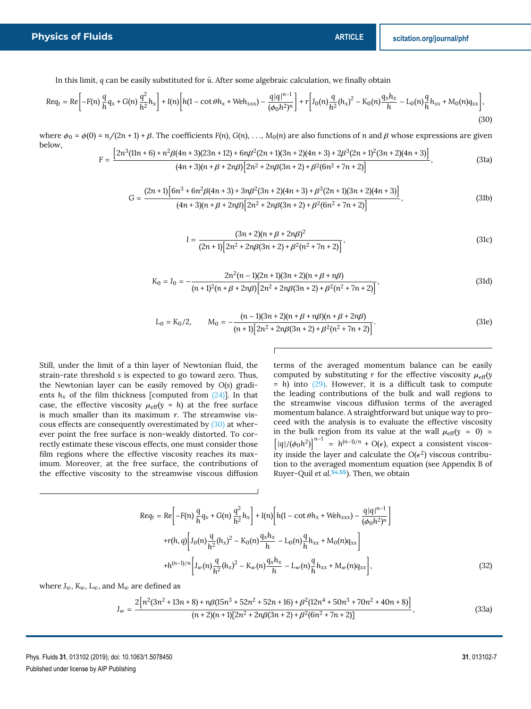In this limit, *q* can be easily substituted for *u*<sup> $i$ </sup>. After some algebraic calculation, we finally obtain

$$
Req_{t} = Re \left[ -F(n) \frac{q}{h} q_{x} + G(n) \frac{q^{2}}{h^{2}} h_{x} \right] + I(n) \left[ h(1 - \cot \theta h_{x} + W\theta h_{xxx}) - \frac{q|q|^{n-1}}{(\phi_{0} h^{2})^{n}} \right] + r \left[ J_{0}(n) \frac{q}{h^{2}} (h_{x})^{2} - K_{0}(n) \frac{q_{x} h_{x}}{h} - L_{0}(n) \frac{q}{h} h_{xx} + M_{0}(n) q_{xx} \right],
$$
\n(30)

where  $\phi_0 = \phi(0) = n/(2n + 1) + \beta$ . The coefficients  $F(n)$ ,  $G(n)$ , ...,  $M_0(n)$  are also functions of *n* and  $\beta$  whose expressions are given below,

$$
F = \frac{\left[2n^3(11n+6) + n^2\beta(4n+3)(23n+12) + 6n\beta^2(2n+1)(3n+2)(4n+3) + 2\beta^3(2n+1)^2(3n+2)(4n+3)\right]}{(4n+3)(n+\beta+2n\beta)\left[2n^2+2n\beta(3n+2)+\beta^2(6n^2+7n+2)\right]},
$$
\n(31a)

$$
G = \frac{(2n+1)\left[6n^3+6n^2\beta(4n+3)+3n\beta^2(3n+2)(4n+3)+\beta^3(2n+1)(3n+2)(4n+3)\right]}{(4n+3)(n+\beta+2n\beta)\left[2n^2+2n\beta(3n+2)+\beta^2(6n^2+7n+2)\right]},
$$
\n(31b)

$$
I = \frac{(3n+2)(n+\beta+2n\beta)^2}{(2n+1)[2n^2+2n\beta(3n+2)+\beta^2(n^2+7n+2)]},
$$
\n(31c)

$$
K_0 = J_0 = -\frac{2n^2(n-1)(2n+1)(3n+2)(n+\beta+n\beta)}{(n+1)^2(n+\beta+2n\beta)\left[2n^2+2n\beta(3n+2)+\beta^2(n^2+7n+2)\right]},
$$
\n(31d)

$$
L_0 = K_0/2, \qquad M_0 = -\frac{(n-1)(3n+2)(n+\beta+n\beta)(n+\beta+2n\beta)}{(n+1)[2n^2+2n\beta(3n+2)+\beta^2(n^2+7n+2)]}.
$$
(31e)

Still, under the limit of a thin layer of Newtonian fluid, the strain-rate threshold *s* is expected to go toward zero. Thus, the Newtonian layer can be easily removed by *O*(*s*) gradients  $h_x$  of the film thickness [computed from  $(24)$ ]. In that case, the effective viscosity  $\mu_{eff}(y = h)$  at the free surface is much smaller than its maximum *r*. The streamwise viscous effects are consequently overestimated by (30) at wherever point the free surface is non-weakly distorted. To correctly estimate these viscous effects, one must consider those film regions where the effective viscosity reaches its maximum. Moreover, at the free surface, the contributions of the effective viscosity to the streamwise viscous diffusion

terms of the averaged momentum balance can be easily computed by substituting *r* for the effective viscosity  $\mu_{\text{eff}}(\gamma)$ = *h*) into (29). However, it is a difficult task to compute the leading contributions of the bulk and wall regions to the streamwise viscous diffusion terms of the averaged momentum balance. A straightforward but unique way to proceed with the analysis is to evaluate the effective viscosity in the bulk region from its value at the wall  $\mu_{eff}(y = 0) \approx$  $\left[ |q|/(\phi_0 h^2) \right]^{n-1} = h^{(n-1)/n} + O(\epsilon)$ , expect a consistent viscosity inside the layer and calculate the  $O(\epsilon^2)$  viscous contribution to the averaged momentum equation (see Appendix B of Ruyer-Quil *et al.*54,55). Then, we obtain

$$
Req_{t} = Re \left[ -F(n) \frac{q}{h} q_{x} + G(n) \frac{q^{2}}{h^{2}} h_{x} \right] + I(n) \left[ h(1 - \cot \theta h_{x} + \text{We} h_{xxx}) - \frac{q|q|^{n-1}}{(\phi_{0} h^{2})^{n}} \right]
$$
  
+r(h, q) \left[ J\_{0}(n) \frac{q}{h^{2}} (h\_{x})^{2} - K\_{0}(n) \frac{q\_{x} h\_{x}}{h} - L\_{0}(n) \frac{q}{h} h\_{xx} + M\_{0}(n) q\_{xx} \right]  
+h^{(n-1)/n} \left[ J\_{w}(n) \frac{q}{h^{2}} (h\_{x})^{2} - K\_{w}(n) \frac{q\_{x} h\_{x}}{h} - L\_{w}(n) \frac{q}{h} h\_{xx} + M\_{w}(n) q\_{xx} \right], \tag{32}

where  $J_w$ ,  $K_w$ ,  $L_w$ , and  $M_w$  are defined as

$$
J_w = \frac{2\left[n^2(3n^2 + 13n + 8) + n\beta(15n^3 + 52n^2 + 52n + 16) + \beta^2(12n^4 + 50n^3 + 70n^2 + 40n + 8)\right]}{(n+2)(n+1)\left[2n^2 + 2n\beta(3n+2) + \beta^2(6n^2 + 7n + 2)\right]},
$$
\n(33a)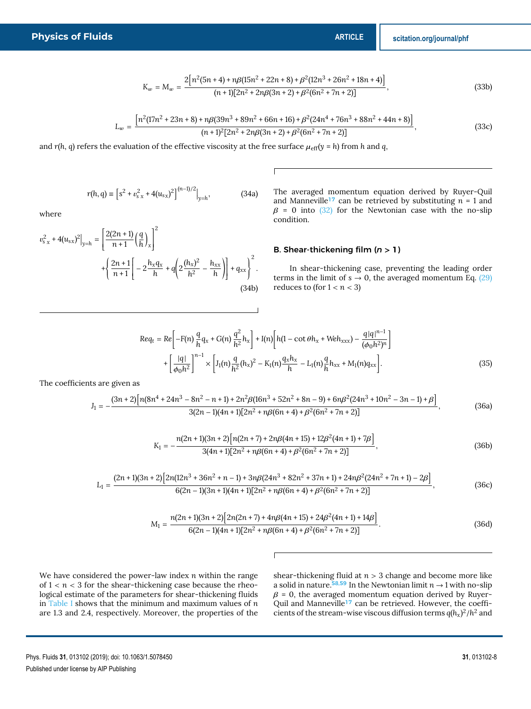$$
L_w = \frac{\left[n^2(17n^2 + 23n + 8) + n\beta(39n^3 + 89n^2 + 66n + 16) + \beta^2(24n^4 + 76n^3 + 88n^2 + 44n + 8)\right]}{(n + 1)^2[2n^2 + 2n\beta(3n + 2) + \beta^2(6n^2 + 7n + 2)]},
$$
\n(33c)

and  $r(h, q)$  refers the evaluation of the effective viscosity at the free surface  $\mu_{eff}(y = h)$  from *h* and *q*,

$$
r(h,q) = \left[s^2 + v_{s}^2 + 4(u_{sx})^2\right]^{(n-1)/2} \Big|_{y=h},\tag{34a}
$$

where

$$
v_{s}^{2} + 4(u_{sx})^{2}\Big|_{y=h} = \left[\frac{2(2n+1)}{n+1}\left(\frac{q}{h}\right)_{x}\right]^{2} + \left\{\frac{2n+1}{n+1}\left[-2\frac{h_{x}q_{x}}{h} + q\left(2\frac{(h_{x})^{2}}{h^{2}} - \frac{h_{xx}}{h}\right)\right] + q_{xx}\right\}^{2}.
$$
\n(34b)

The averaged momentum equation derived by Ruyer-Quil and Manneville<sup>17</sup> can be retrieved by substituting  $n = 1$  and  $\beta$  = 0 into (32) for the Newtonian case with the no-slip condition.

#### B. Shear-thickening film (*n* > **1**)

In shear-thickening case, preventing the leading order terms in the limit of  $s \to 0$ , the averaged momentum Eq. (29) reduces to (for  $1 < n < 3$ )

$$
Req_{t} = Re \left[ -F(n) \frac{q}{h} q_{x} + G(n) \frac{q^{2}}{h^{2}} h_{x} \right] + I(n) \left[ h(1 - \cot \theta h_{x} + W e h_{xxx}) - \frac{q|q|^{n-1}}{(\phi_{0} h^{2})^{n}} \right] + \left[ \frac{|q|}{\phi_{0} h^{2}} \right]^{n-1} \times \left[ J_{1}(n) \frac{q}{h^{2}} (h_{x})^{2} - K_{1}(n) \frac{q_{x} h_{x}}{h} - L_{1}(n) \frac{q}{h} h_{xx} + M_{1}(n) q_{xx} \right].
$$
\n(35)

The coefficients are given as

$$
J_1 = -\frac{(3n+2)\left[n(8n^4+24n^3-8n^2-n+1)+2n^2\beta(16n^3+52n^2+8n-9)+6n\beta^2(24n^3+10n^2-3n-1)+\beta\right]}{3(2n-1)(4n+1)\left[2n^2+n\beta(6n+4)+\beta^2(6n^2+7n+2)\right]},
$$
(36a)

$$
K_1 = -\frac{n(2n+1)(3n+2)\left[n(2n+7) + 2n\beta(4n+15) + 12\beta^2(4n+1) + 7\beta\right]}{3(4n+1)\left[2n^2 + n\beta(6n+4) + \beta^2(6n^2+7n+2)\right]},
$$
\n(36b)

$$
L_1 = \frac{(2n+1)(3n+2)\left[2n(12n^3+36n^2+n-1)+3n\beta(24n^3+82n^2+37n+1)+24n\beta^2(24n^2+7n+1)-2\beta\right]}{6(2n-1)(3n+1)(4n+1)\left[2n^2+n\beta(6n+4)+\beta^2(6n^2+7n+2)\right]},
$$
(36c)

$$
M_1 = \frac{n(2n+1)(3n+2)[2n(2n+7) + 4n\beta(4n+15) + 24\beta^2(4n+1) + 14\beta]}{6(2n-1)(4n+1)[2n^2+n\beta(6n+4) + \beta^2(6n^2+7n+2)]}.
$$
\n(36d)

We have considered the power-law index *n* within the range of  $1 < n < 3$  for the shear-thickening case because the rheological estimate of the parameters for shear-thickening fluids in Table I shows that the minimum and maximum values of *n* are 1.3 and 2.4, respectively. Moreover, the properties of the shear-thickening fluid at  $n > 3$  change and become more like a solid in nature.<sup>58,59</sup> In the Newtonian limit  $n \rightarrow 1$  with no-slip  $\beta$  = 0, the averaged momentum equation derived by Ruyer-Quil and Manneville<sup>17</sup> can be retrieved. However, the coefficients of the stream-wise viscous diffusion terms  $q(h_x)^2/h^2$  and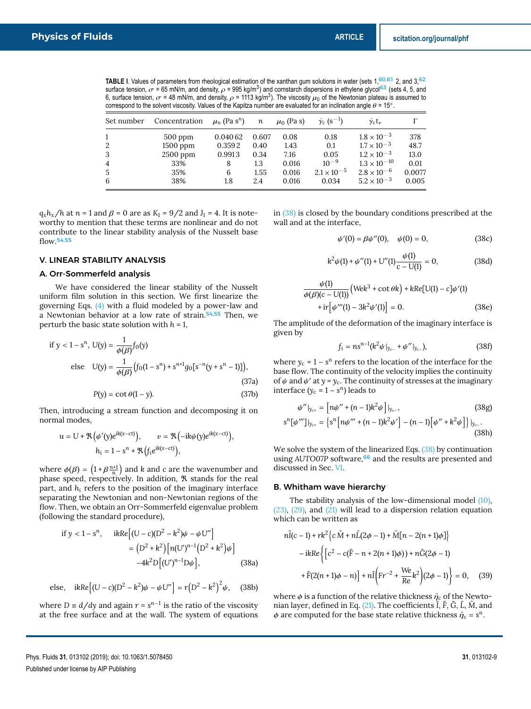**TABLE I**. Values of parameters from rheological estimation of the xanthan gum solutions in water (sets 1,<sup>60,61</sup> 2, and 3,<sup>62</sup> surface tension,  $\sigma$  = 65 mN/m, and density,  $\rho$  = 995 kg/m<sup>3</sup>) and cornstarch dispersions in ethylene glycol<sup>63</sup> (sets 4, 5, and 6, surface tension,  $\sigma$  = 48 mN/m, and density,  $\rho$  = 1113 kg/m<sup>3</sup>). The viscosity  $\mu_0$  of the Newtonian plateau is assumed to correspond to the solvent viscosity. Values of the Kapitza number are evaluated for an inclination angle  $\theta$  = 15°.

| Set number     | Concentration | $\mu_n$ (Pa s <sup>n</sup> ) | п     | $\mu_0$ (Pa s) | $\dot{\gamma}_c$ (s <sup>-1</sup> ) | $\dot{\gamma}_c t_{\nu}$ |        |
|----------------|---------------|------------------------------|-------|----------------|-------------------------------------|--------------------------|--------|
| $\mathbf{1}$   | $500$ ppm     | 0.04062                      | 0.607 | 0.08           | 0.18                                | $1.8 \times 10^{-3}$     | 378    |
| 2              | $1500$ ppm    | 0.3592                       | 0.40  | 1.43           | 0.1                                 | $1.7 \times 10^{-3}$     | 48.7   |
| 3              | $2500$ ppm    | 0.9913                       | 0.34  | 7.16           | 0.05                                | $1.2 \times 10^{-3}$     | 13.0   |
| $\overline{4}$ | 33%           | 8                            | 1.3   | 0.016          | $10^{-9}$                           | $1.3 \times 10^{-10}$    | 0.01   |
| 5              | 35%           | 6                            | 1.55  | 0.016          | $2.1 \times 10^{-5}$                | $2.8 \times 10^{-6}$     | 0.0077 |
| 6              | 38%           | 1.8                          | 2.4   | 0.016          | 0.034                               | $5.2 \times 10^{-3}$     | 0.005  |

 $q_x h_x/h$  at  $n = 1$  and  $\beta = 0$  are as  $K_1 = 9/2$  and  $J_1 = 4$ . It is noteworthy to mention that these terms are nonlinear and do not contribute to the linear stability analysis of the Nusselt base flow.54,55

# V. LINEAR STABILITY ANALYSIS

#### A. Orr-Sommerfeld analysis

We have considered the linear stability of the Nusselt uniform film solution in this section. We first linearize the governing Eqs. (4) with a fluid modeled by a power-law and a Newtonian behavior at a low rate of strain.54,55 Then, we perturb the basic state solution with *h* = 1,

if 
$$
y < 1 - s^n
$$
,  $U(y) = \frac{1}{\phi(\beta)} f_0(y)$   
\nelse  $U(y) = \frac{1}{\phi(\beta)} (f_0(1 - s^n) + s^{n+1} g_0[s^{-n}(y + s^n - 1)]),$  (37a)

$$
P(y) = \cot \theta (1 - y). \tag{37b}
$$

Then, introducing a stream function and decomposing it on normal modes,

$$
u = U + \mathfrak{R}(\psi'(y)e^{ik(x-ct)}), \qquad v = \mathfrak{R}(-ik\psi(y)e^{ik(x-ct)}),
$$

$$
h_i = 1 - s^n + \mathfrak{R}(f_ie^{ik(x-ct)}),
$$

where  $\phi(\beta) = \left(1 + \beta \frac{n+1}{n}\right)$  and *k* and *c* are the wavenumber and phase speed, respectively. In addition,  $\Re$  stands for the real part, and *h<sup>i</sup>* refers to the position of the imaginary interface separating the Newtonian and non-Newtonian regions of the flow. Then, we obtain an Orr-Sommerfeld eigenvalue problem (following the standard procedure),

if 
$$
y < 1 - s^n
$$
,  $ikRe [(U - c)(D^2 - k^2)\psi - \psi U'']$   
=  $(D^2 + k^2) [n(U')^{n-1}(D^2 + k^2)\psi]$   
 $-4k^2 D [(U')^{n-1}D\psi],$  (38a)

else, 
$$
ikRe[(U-c)(D^2-k^2)\psi - \psi U''] = r(D^2-k^2)^2\psi
$$
, (38b)

where *D*  $\equiv d/dy$  and again  $r = s^{n-1}$  is the ratio of the viscosity at the free surface and at the wall. The system of equations in (38) is closed by the boundary conditions prescribed at the wall and at the interface,

$$
\psi'(0) = \beta \psi''(0), \quad \psi(0) = 0,
$$
 (38c)

$$
k^{2}\psi(1) + \psi''(1) + U''(1)\frac{\psi(1)}{c - U(1)} = 0,
$$
 (38d)

$$
\frac{\psi(1)}{\phi(\beta)(c - U(1))} \left( \text{Wek}^3 + \cot \theta \, \text{R} \right) + \text{RRe}[U(1) - c] \psi'(1) + \text{ir} \left[ \psi'''(1) - 3k^2 \psi'(1) \right] = 0. \tag{38e}
$$

The amplitude of the deformation of the imaginary interface is given by

$$
f_i = n s^{n-1} (k^2 \psi |_{y_{c-}} + \psi' |_{y_{c-}}),
$$
\n(38f)

where  $y_c = 1 - s^n$  refers to the location of the interface for the base flow. The continuity of the velocity implies the continuity of  $\psi$  and  $\psi'$  at  $y = y_c$ . The continuity of stresses at the imaginary interface ( $y_c = 1 - s^n$ ) leads to

$$
\psi''|_{y_{c^+}} = \left[n\psi'' + (n-1)k^2\psi\right]|_{y_{c^-}},
$$
\n(38g)  
\n
$$
{}^{n}[\psi''']|_{y_{c^+}} = \left\{s^n\left[n\psi'' + (n-1)k^2\psi'\right] - (n-1)\left[\psi'' + k^2\psi\right]\right\}|_{y_{c^-}}.
$$
\n(38g)  
\n(38h)

We solve the system of the linearized Eqs. (38) by continuation using *AUTO07P* software,<sup>66</sup> and the results are presented and discussed in Sec. VI.

#### B. Whitham wave hierarchy

*s*

The stability analysis of the low-dimensional model (10), (23), (29), and (21) will lead to a dispersion relation equation which can be written as

$$
n\tilde{I}(c-1) + rk^2 \{c \tilde{M} + n\tilde{L}(2\phi - 1) + \tilde{M}[n - 2(n + 1)\phi] \} - ike \{ [c^2 - c(\tilde{F} - n + 2(n + 1)\phi)) + n\tilde{G}(2\phi - 1) + \tilde{F}(2(n + 1)\phi - n) ] + n\tilde{I}(Fr^{-2} + \frac{We}{Re}k^2)(2\phi - 1) \} = 0, \quad (39)
$$

where  $\phi$  is a function of the relative thickness  $\bar{\eta}_c$  of the Newtonian layer, defined in Eq. (21). The coefficients  $\tilde{I}$ ,  $\tilde{F}$ ,  $\tilde{G}$ ,  $\tilde{L}$ ,  $\tilde{M}$ , and  $\phi$  are computed for the base state relative thickness  $\bar{\eta}_c = s^n$ .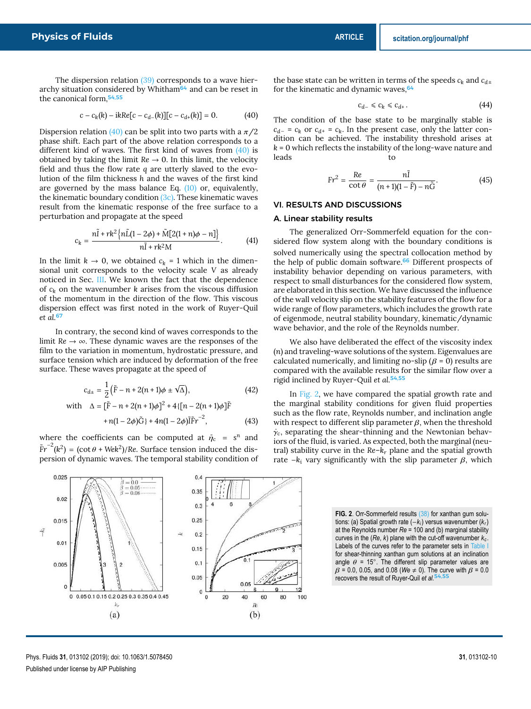The dispersion relation (39) corresponds to a wave hierarchy situation considered by Whitham<sup>64</sup> and can be reset in the canonical form,54,55

$$
c - c_k(k) - ikRe[c - c_{d-}(k)][c - c_{d+}(k)] = 0. \tag{40}
$$

Dispersion relation (40) can be split into two parts with a  $\pi/2$ phase shift. Each part of the above relation corresponds to a different kind of waves. The first kind of waves from  $(40)$  is obtained by taking the limit  $Re \rightarrow 0$ . In this limit, the velocity field and thus the flow rate *q* are utterly slaved to the evolution of the film thickness *h* and the waves of the first kind are governed by the mass balance Eq. (10) or, equivalently, the kinematic boundary condition  $(3c)$ . These kinematic waves result from the kinematic response of the free surface to a perturbation and propagate at the speed

$$
c_k = \frac{n\tilde{l} + rk^2 \left\{n\tilde{L}(1-2\phi) + \tilde{M}[2(1+n)\phi - n]\right\}}{n\tilde{l} + rk^2M}.
$$
 (41)

In the limit  $k \to 0$ , we obtained  $c_k = 1$  which in the dimensional unit corresponds to the velocity scale *V* as already noticed in Sec. III. We known the fact that the dependence of *c<sup>k</sup>* on the wavenumber *k* arises from the viscous diffusion of the momentum in the direction of the flow. This viscous dispersion effect was first noted in the work of Ruyer-Quil *et al.*<sup>67</sup>

In contrary, the second kind of waves corresponds to the limit  $Re \rightarrow \infty$ . These dynamic waves are the responses of the film to the variation in momentum, hydrostatic pressure, and surface tension which are induced by deformation of the free surface. These waves propagate at the speed of

$$
c_{d\pm} = \frac{1}{2} (\tilde{F} - n + 2(n+1)\phi \pm \sqrt{\Delta}), \tag{42}
$$

with 
$$
\Delta = [\tilde{F} - n + 2(n+1)\phi]^{2} + 4\{[n-2(n+1)\phi]\tilde{F} + n(1-2\phi)\tilde{G}\} + 4n(1-2\phi)\tilde{F}r^{-2},
$$
 (43)

where the coefficients can be computed at  $\bar{\eta}_c = s^n$  and  $\tilde{F}r^{-2}(k^2) = (\cot \theta + \text{Wek}^2)/\text{Re}$ . Surface tension induced the dispersion of dynamic waves. The temporal stability condition of the base state can be written in terms of the speeds  $c_k$  and  $c_{d+1}$ for the kinematic and dynamic waves, <sup>64</sup>

$$
c_{d-} \leq c_k \leq c_{d+}. \tag{44}
$$

The condition of the base state to be marginally stable is *cd*<sup>−</sup> = *c<sup>k</sup>* or *cd*<sup>+</sup> = *c<sup>k</sup>* . In the present case, only the latter condition can be achieved. The instability threshold arises at *k* = 0 which reflects the instability of the long-wave nature and leads to

$$
\text{Fr}^2 = \frac{\text{Re}}{\cot \theta} = \frac{n\tilde{\text{I}}}{(n+1)(1-\tilde{\text{F}}) - n\tilde{\text{G}}}. \tag{45}
$$

#### VI. RESULTS AND DISCUSSIONS

#### A. Linear stability results

The generalized Orr-Sommerfeld equation for the considered flow system along with the boundary conditions is solved numerically using the spectral collocation method by the help of public domain software.<sup>66</sup> Different prospects of instability behavior depending on various parameters, with respect to small disturbances for the considered flow system, are elaborated in this section. We have discussed the influence of the wall velocity slip on the stability features of the flow for a wide range of flow parameters, which includes the growth rate of eigenmode, neutral stability boundary, kinematic/dynamic wave behavior, and the role of the Reynolds number.

We also have deliberated the effect of the viscosity index (*n*) and traveling-wave solutions of the system. Eigenvalues are calculated numerically, and limiting no-slip ( $\beta$  = 0) results are compared with the available results for the similar flow over a rigid inclined by Ruyer-Quil *et al.*54,55

In Fig. 2, we have compared the spatial growth rate and the marginal stability conditions for given fluid properties such as the flow rate, Reynolds number, and inclination angle with respect to different slip parameter  $\beta$ , when the threshold  $\dot{\gamma}_c$ , separating the shear-thinning and the Newtonian behaviors of the fluid, is varied. As expected, both the marginal (neutral) stability curve in the *Re*–*k<sup>r</sup>* plane and the spatial growth rate  $-k_i$  vary significantly with the slip parameter  $\beta$ , which



**FIG. 2**. Orr-Sommerfeld results (38) for xanthan gum solutions: (a) Spatial growth rate (−*k<sup>i</sup>* ) versus wavenumber (*k<sup>r</sup>* ) at the Reynolds number *Re* = 100 and (b) marginal stability curves in the (*Re*, *k*) plane with the cut-off wavenumber *k<sup>c</sup>* . Labels of the curves refer to the parameter sets in Table for shear-thinning xanthan gum solutions at an inclination angle  $\theta$  = 15°. The different slip parameter values are  $\beta$  = 0.0, 0.05, and 0.08 (*We*  $\neq$  0). The curve with  $\beta$  = 0.0 recovers the result of Ruyer-Quil *et al.*54,55

Phys. Fluids **31**, 013102 (2019); doi: 10.1063/1.5078450 **31**, 013102-10 Published under license by AIP Publishing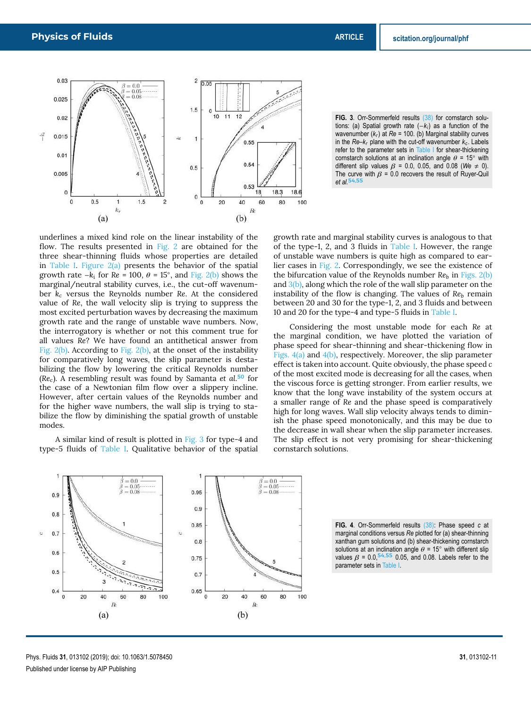

underlines a mixed kind role on the linear instability of the flow. The results presented in Fig. 2 are obtained for the three shear-thinning fluids whose properties are detailed in Table I. Figure  $2(a)$  presents the behavior of the spatial growth rate  $-k_i$  for  $Re = 100$ ,  $\theta = 15^\circ$ , and Fig. 2(b) shows the marginal/neutral stability curves, i.e., the cut-off wavenumber *k<sup>c</sup>* versus the Reynolds number *Re*. At the considered value of *Re*, the wall velocity slip is trying to suppress the most excited perturbation waves by decreasing the maximum growth rate and the range of unstable wave numbers. Now, the interrogatory is whether or not this comment true for all values *Re*? We have found an antithetical answer from Fig. 2(b). According to Fig. 2(b), at the onset of the instability for comparatively long waves, the slip parameter is destabilizing the flow by lowering the critical Reynolds number (*Rec*). A resembling result was found by Samanta *et al.*<sup>50</sup> for the case of a Newtonian film flow over a slippery incline. However, after certain values of the Reynolds number and for the higher wave numbers, the wall slip is trying to stabilize the flow by diminishing the spatial growth of unstable modes.

A similar kind of result is plotted in Fig. 3 for type-4 and type-5 fluids of Table I. Qualitative behavior of the spatial

FIG. 3. Orr-Sommerfeld results (38) for cornstarch solutions: (a) Spatial growth rate (−*k<sup>i</sup>* ) as a function of the wavenumber (*k<sup>r</sup>* ) at *Re* = 100. (b) Marginal stability curves in the *Re*–*k<sup>r</sup>* plane with the cut-off wavenumber *k<sup>c</sup>* . Labels refer to the parameter sets in Table I for shear-thickening cornstarch solutions at an inclination angle  $\theta$  = 15 $\degree$  with different slip values  $\beta$  = 0.0, 0.05, and 0.08 (*We*  $\neq$  0). The curve with  $\beta$  = 0.0 recovers the result of Ruyer-Quil *et al.*54,55

growth rate and marginal stability curves is analogous to that of the type-1, 2, and 3 fluids in Table I. However, the range of unstable wave numbers is quite high as compared to earlier cases in Fig. 2. Correspondingly, we see the existence of the bifurcation value of the Reynolds number *Re<sup>b</sup>* in Figs. 2(b) and 3(b), along which the role of the wall slip parameter on the instability of the flow is changing. The values of *Re<sup>b</sup>* remain between 20 and 30 for the type-1, 2, and 3 fluids and between 10 and 20 for the type-4 and type-5 fluids in Table I.

Considering the most unstable mode for each *Re* at the marginal condition, we have plotted the variation of phase speed for shear-thinning and shear-thickening flow in Figs.  $4(a)$  and  $4(b)$ , respectively. Moreover, the slip parameter effect is taken into account. Quite obviously, the phase speed *c* of the most excited mode is decreasing for all the cases, when the viscous force is getting stronger. From earlier results, we know that the long wave instability of the system occurs at a smaller range of *Re* and the phase speed is comparatively high for long waves. Wall slip velocity always tends to diminish the phase speed monotonically, and this may be due to the decrease in wall shear when the slip parameter increases. The slip effect is not very promising for shear-thickening cornstarch solutions.



**FIG. 4**. Orr-Sommerfeld results (38): Phase speed *c* at marginal conditions versus *Re* plotted for (a) shear-thinning xanthan gum solutions and (b) shear-thickening cornstarch solutions at an inclination angle  $\theta$  = 15 $\degree$  with different slip values  $\beta$  = 0.0,<sup>54,55</sup> 0.05, and 0.08. Labels refer to the parameter sets in Table I.

Phys. Fluids **31**, 013102 (2019); doi: 10.1063/1.5078450 **31**, 013102-11 Published under license by AIP Publishing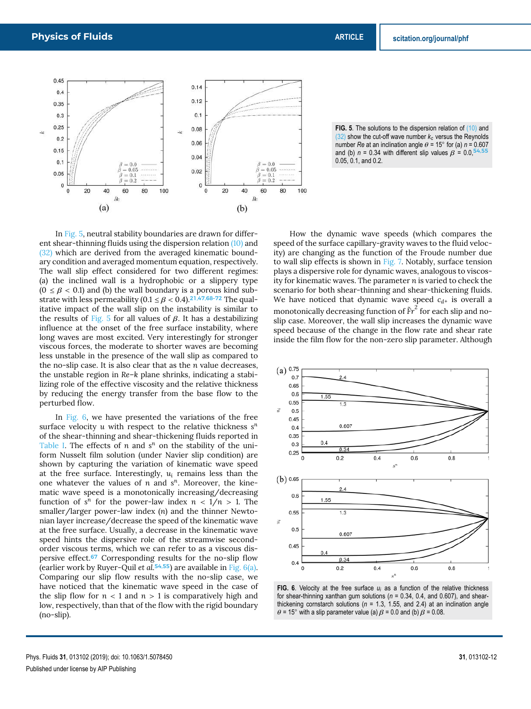

In Fig. 5, neutral stability boundaries are drawn for different shear-thinning fluids using the dispersion relation (10) and (32) which are derived from the averaged kinematic boundary condition and averaged momentum equation, respectively. The wall slip effect considered for two different regimes: (a) the inclined wall is a hydrophobic or a slippery type  $(0 \leq \beta < 0.1)$  and (b) the wall boundary is a porous kind substrate with less permeability (0.1  $\leq \beta < 0.4$ ).<sup>21,47,68-72</sup> The qualitative impact of the wall slip on the instability is similar to the results of Fig. 5 for all values of  $β$ . It has a destabilizing influence at the onset of the free surface instability, where long waves are most excited. Very interestingly for stronger viscous forces, the moderate to shorter waves are becoming less unstable in the presence of the wall slip as compared to the no-slip case. It is also clear that as the *n* value decreases, the unstable region in *Re*–*k* plane shrinks, indicating a stabilizing role of the effective viscosity and the relative thickness by reducing the energy transfer from the base flow to the perturbed flow.

In Fig.  $6$ , we have presented the variations of the free surface velocity *u* with respect to the relative thickness *s n* of the shear-thinning and shear-thickening fluids reported in Table I. The effects of  $n$  and  $s^n$  on the stability of the uniform Nusselt film solution (under Navier slip condition) are shown by capturing the variation of kinematic wave speed at the free surface. Interestingly,  $u_i$  remains less than the one whatever the values of *n* and  $s<sup>n</sup>$ . Moreover, the kinematic wave speed is a monotonically increasing/decreasing function of  $s^n$  for the power-law index  $n < 1/n > 1$ . The smaller/larger power-law index (*n*) and the thinner Newtonian layer increase/decrease the speed of the kinematic wave at the free surface. Usually, a decrease in the kinematic wave speed hints the dispersive role of the streamwise secondorder viscous terms, which we can refer to as a viscous dispersive effect.<sup>67</sup> Corresponding results for the no-slip flow (earlier work by Ruyer-Quil *et al.*54,55) are available in Fig. 6(a). Comparing our slip flow results with the no-slip case, we have noticed that the kinematic wave speed in the case of the slip flow for  $n < 1$  and  $n > 1$  is comparatively high and low, respectively, than that of the flow with the rigid boundary (no-slip).

**FIG. 5**. The solutions to the dispersion relation of (10) and  $(32)$  show the cut-off wave number  $k_c$  versus the Reynolds number *Re* at an inclination angle  $\theta$  = 15 $\degree$  for (a) *n* = 0.607 and (b)  $n = 0.34$  with different slip values  $\beta = 0.0,5$ 0.05, 0.1, and 0.2.

How the dynamic wave speeds (which compares the speed of the surface capillary-gravity waves to the fluid velocity) are changing as the function of the Froude number due to wall slip effects is shown in Fig. 7. Notably, surface tension plays a dispersive role for dynamic waves, analogous to viscosity for kinematic waves. The parameter *n* is varied to check the scenario for both shear-thinning and shear-thickening fluids. We have noticed that dynamic wave speed  $c_{d+}$  is overall a monotonically decreasing function of  $\mathrm{Fr}^{2}$  for each slip and noslip case. Moreover, the wall slip increases the dynamic wave speed because of the change in the flow rate and shear rate inside the film flow for the non-zero slip parameter. Although



**FIG. 6**. Velocity at the free surface *u<sup>i</sup>* as a function of the relative thickness for shear-thinning xanthan gum solutions ( $n = 0.34$ , 0.4, and 0.607), and shearthickening cornstarch solutions (*n* = 1.3, 1.55, and 2.4) at an inclination angle  $\theta$  = 15° with a slip parameter value (a)  $\beta$  = 0.0 and (b)  $\beta$  = 0.08.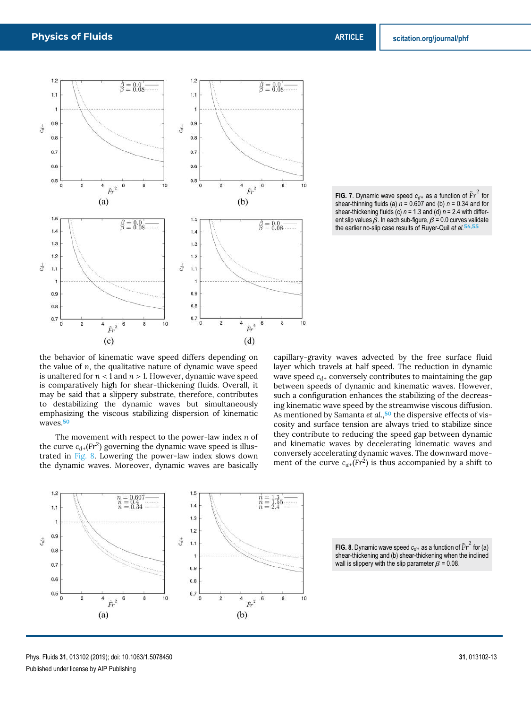

**FIG. 7**. Dynamic wave speed  $c_{d+}$  as a function of  $\tilde{F}r^2$  for shear-thinning fluids (a)  $n = 0.607$  and (b)  $n = 0.34$  and for shear-thickening fluids (c)  $n = 1.3$  and (d)  $n = 2.4$  with different slip values  $\beta$ . In each sub-figure,  $\beta$  = 0.0 curves validate the earlier no-slip case results of Ruyer-Quil *et al.*54,55

the behavior of kinematic wave speed differs depending on the value of *n*, the qualitative nature of dynamic wave speed is unaltered for *n* < 1 and *n* > 1. However, dynamic wave speed is comparatively high for shear-thickening fluids. Overall, it may be said that a slippery substrate, therefore, contributes to destabilizing the dynamic waves but simultaneously emphasizing the viscous stabilizing dispersion of kinematic waves.<sup>50</sup>

The movement with respect to the power-law index *n* of the curve  $c_{d+}(Fr^2)$  governing the dynamic wave speed is illustrated in Fig. 8. Lowering the power-law index slows down the dynamic waves. Moreover, dynamic waves are basically

capillary-gravity waves advected by the free surface fluid layer which travels at half speed. The reduction in dynamic wave speed *cd*<sup>+</sup> conversely contributes to maintaining the gap between speeds of dynamic and kinematic waves. However, such a configuration enhances the stabilizing of the decreasing kinematic wave speed by the streamwise viscous diffusion. As mentioned by Samanta *et al.*, <sup>50</sup> the dispersive effects of viscosity and surface tension are always tried to stabilize since they contribute to reducing the speed gap between dynamic and kinematic waves by decelerating kinematic waves and conversely accelerating dynamic waves. The downward movement of the curve  $c_{d+}(Fr^2)$  is thus accompanied by a shift to



**FIG. 8**. Dynamic wave speed  $c_{d^+}$  as a function of  $\tilde{F}r^2$  for (a) shear-thickening and (b) shear-thickening when the inclined wall is slippery with the slip parameter  $\beta$  = 0.08.

Phys. Fluids **31**, 013102 (2019); doi: 10.1063/1.5078450 **31**, 013102-13 Published under license by AIP Publishing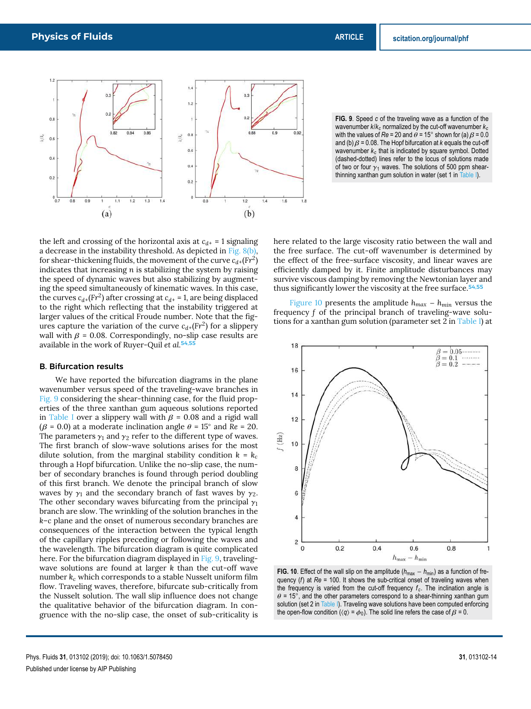

**FIG. 9**. Speed *c* of the traveling wave as a function of the wavenumber  $k/k_c$  normalized by the cut-off wavenumber  $k_c$ with the values of  $Re$  = 20 and  $\theta$  = 15 $^{\circ}$  shown for (a)  $\beta$  = 0.0 and (b)  $\beta$  = 0.08. The Hopf bifurcation at *k* equals the cut-off wavenumber *k<sup>c</sup>* that is indicated by square symbol. Dotted (dashed-dotted) lines refer to the locus of solutions made of two or four  $\gamma_1$  waves. The solutions of 500 ppm shearthinning xanthan gum solution in water (set 1 in Table I).

the left and crossing of the horizontal axis at  $c_{d+}$  = 1 signaling a decrease in the instability threshold. As depicted in Fig. 8(b), for shear-thickening fluids, the movement of the curve  $c_{d+}(\mathrm{Fr}^2)$ indicates that increasing *n* is stabilizing the system by raising the speed of dynamic waves but also stabilizing by augmenting the speed simultaneously of kinematic waves. In this case, the curves  $c_{d+}(Fr^2)$  after crossing at  $c_{d+}$  = 1, are being displaced to the right which reflecting that the instability triggered at larger values of the critical Froude number. Note that the figures capture the variation of the curve  $c_{d+}(\mathrm{Fr}^2)$  for a slippery wall with  $\beta$  = 0.08. Correspondingly, no-slip case results are available in the work of Ruyer-Quil *et al.*54,55

## B. Bifurcation results

We have reported the bifurcation diagrams in the plane wavenumber versus speed of the traveling-wave branches in Fig. 9 considering the shear-thinning case, for the fluid properties of the three xanthan gum aqueous solutions reported in Table I over a slippery wall with  $\beta$  = 0.08 and a rigid wall ( $\beta$  = 0.0) at a moderate inclination angle  $\theta$  = 15° and *Re* = 20. The parameters  $\gamma_1$  and  $\gamma_2$  refer to the different type of waves. The first branch of slow-wave solutions arises for the most dilute solution, from the marginal stability condition  $k = k_c$ through a Hopf bifurcation. Unlike the no-slip case, the number of secondary branches is found through period doubling of this first branch. We denote the principal branch of slow waves by  $\gamma_1$  and the secondary branch of fast waves by  $\gamma_2$ . The other secondary waves bifurcating from the principal  $\gamma_1$ branch are slow. The wrinkling of the solution branches in the *k*–*c* plane and the onset of numerous secondary branches are consequences of the interaction between the typical length of the capillary ripples preceding or following the waves and the wavelength. The bifurcation diagram is quite complicated here. For the bifurcation diagram displayed in Fig. 9, travelingwave solutions are found at larger *k* than the cut-off wave number *k<sup>c</sup>* which corresponds to a stable Nusselt uniform film flow. Traveling waves, therefore, bifurcate sub-critically from the Nusselt solution. The wall slip influence does not change the qualitative behavior of the bifurcation diagram. In congruence with the no-slip case, the onset of sub-criticality is the effect of the free-surface viscosity, and linear waves are efficiently damped by it. Finite amplitude disturbances may survive viscous damping by removing the Newtonian layer and thus significantly lower the viscosity at the free surface.<sup>54,55</sup> Figure 10 presents the amplitude  $h_{max} - h_{min}$  versus the

here related to the large viscosity ratio between the wall and the free surface. The cut-off wavenumber is determined by

frequency *f* of the principal branch of traveling-wave solutions for a xanthan gum solution (parameter set 2 in Table I) at



**FIG. 10**. Effect of the wall slip on the amplitude (*h*max − *h*min) as a function of fre-quency (*f*) at *Re* = 100. It shows the sub-critical onset of traveling waves when the frequency is varied from the cut-off frequency *f <sup>c</sup>* . The inclination angle is  $\theta$  = 15°, and the other parameters correspond to a shear-thinning xanthan gum solution (set 2 in Table I). Traveling wave solutions have been computed enforcing the open-flow condition ( $\langle q \rangle = \phi_0$ ). The solid line refers the case of  $\beta$  = 0.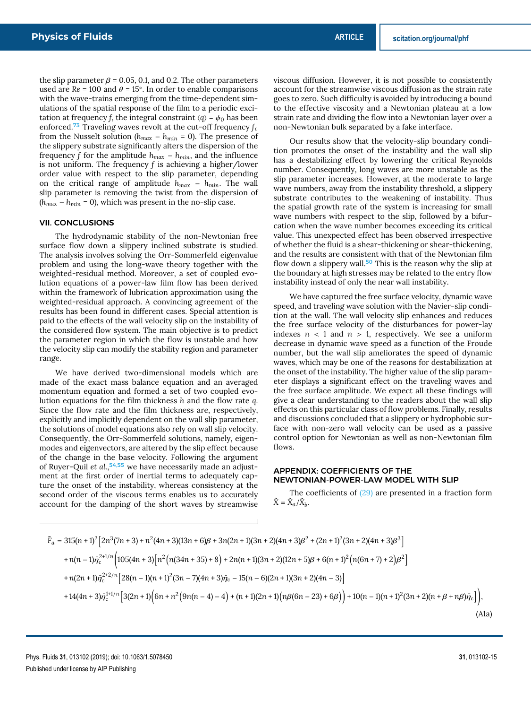the slip parameter  $\beta$  = 0.05, 0.1, and 0.2. The other parameters used are  $Re$  = 100 and  $\theta$  = 15°. In order to enable comparisons with the wave-trains emerging from the time-dependent simulations of the spatial response of the film to a periodic excitation at frequency *f*, the integral constraint  $\langle q \rangle = \phi_0$  has been enforced.<sup>73</sup> Traveling waves revolt at the cut-off frequency *f<sup>c</sup>* from the Nusselt solution ( $h_{max} - h_{min} = 0$ ). The presence of the slippery substrate significantly alters the dispersion of the frequency *f* for the amplitude  $h_{max} - h_{min}$ , and the influence is not uniform. The frequency *f* is achieving a higher/lower order value with respect to the slip parameter, depending on the critical range of amplitude *hmax* − *hmin*. The wall slip parameter is removing the twist from the dispersion of  $(h_{max} - h_{min} = 0)$ , which was present in the no-slip case.

# VII. CONCLUSIONS

The hydrodynamic stability of the non-Newtonian free surface flow down a slippery inclined substrate is studied. The analysis involves solving the Orr-Sommerfeld eigenvalue problem and using the long-wave theory together with the weighted-residual method. Moreover, a set of coupled evolution equations of a power-law film flow has been derived within the framework of lubrication approximation using the weighted-residual approach. A convincing agreement of the results has been found in different cases. Special attention is paid to the effects of the wall velocity slip on the instability of the considered flow system. The main objective is to predict the parameter region in which the flow is unstable and how the velocity slip can modify the stability region and parameter range.

We have derived two-dimensional models which are made of the exact mass balance equation and an averaged momentum equation and formed a set of two coupled evolution equations for the film thickness *h* and the flow rate *q*. Since the flow rate and the film thickness are, respectively, explicitly and implicitly dependent on the wall slip parameter, the solutions of model equations also rely on wall slip velocity. Consequently, the Orr-Sommerfeld solutions, namely, eigenmodes and eigenvectors, are altered by the slip effect because of the change in the base velocity. Following the argument of Ruyer-Quil *et al.*, 54,55 we have necessarily made an adjustment at the first order of inertial terms to adequately capture the onset of the instability, whereas consistency at the second order of the viscous terms enables us to accurately account for the damping of the short waves by streamwise viscous diffusion. However, it is not possible to consistently account for the streamwise viscous diffusion as the strain rate goes to zero. Such difficulty is avoided by introducing a bound to the effective viscosity and a Newtonian plateau at a low strain rate and dividing the flow into a Newtonian layer over a non-Newtonian bulk separated by a fake interface.

Our results show that the velocity-slip boundary condition promotes the onset of the instability and the wall slip has a destabilizing effect by lowering the critical Reynolds number. Consequently, long waves are more unstable as the slip parameter increases. However, at the moderate to large wave numbers, away from the instability threshold, a slippery substrate contributes to the weakening of instability. Thus the spatial growth rate of the system is increasing for small wave numbers with respect to the slip, followed by a bifurcation when the wave number becomes exceeding its critical value. This unexpected effect has been observed irrespective of whether the fluid is a shear-thickening or shear-thickening, and the results are consistent with that of the Newtonian film flow down a slippery wall.<sup>50</sup> This is the reason why the slip at the boundary at high stresses may be related to the entry flow instability instead of only the near wall instability.

We have captured the free surface velocity, dynamic wave speed, and traveling wave solution with the Navier-slip condition at the wall. The wall velocity slip enhances and reduces the free surface velocity of the disturbances for power-lay indexes  $n < 1$  and  $n > 1$ , respectively. We see a uniform decrease in dynamic wave speed as a function of the Froude number, but the wall slip ameliorates the speed of dynamic waves, which may be one of the reasons for destabilization at the onset of the instability. The higher value of the slip parameter displays a significant effect on the traveling waves and the free surface amplitude. We expect all these findings will give a clear understanding to the readers about the wall slip effects on this particular class of flow problems. Finally, results and discussions concluded that a slippery or hydrophobic surface with non-zero wall velocity can be used as a passive control option for Newtonian as well as non-Newtonian film flows.

### APPENDIX: COEFFICIENTS OF THE NEWTONIAN-POWER-LAW MODEL WITH SLIP

The coefficients of (29) are presented in a fraction form  $\tilde{X} = \tilde{X}_a / \tilde{X}_b.$ 

$$
\tilde{F}_a = 315(n+1)^2 \left[ 2n^3(7n+3) + n^2(4n+3)(13n+6)\beta + 3n(2n+1)(3n+2)(4n+3)\beta^2 + (2n+1)^2(3n+2)(4n+3)\beta^3 \right]
$$
  
+  $n(n-1)\bar{\eta}_c^{2+1/n} \Biggl( 105(4n+3) \left[ n^2 \left( n(34n+35) + 8 \right) + 2n(n+1)(3n+2)(12n+5)\beta + 6(n+1)^2 \left( n(6n+7) + 2 \right) \beta^2 \right]$   
+  $n(2n+1)\bar{\eta}_c^{2+2/n} \Biggl[ 28(n-1)(n+1)^2(3n-7)(4n+3)\bar{\eta}_c - 15(n-6)(2n+1)(3n+2)(4n-3) \Biggr]$   
+  $14(4n+3)\bar{\eta}_c^{1+1/n} \Biggl[ 3(2n+1) \Bigl( 6n + n^2 \left( 9n(n-4) - 4 \right) + (n+1)(2n+1) \Bigl( n\beta(6n-23) + 6\beta \right) \Biggr) + 10(n-1)(n+1)^2(3n+2)(n+\beta+n\beta)\bar{\eta}_c \Biggr] \Biggr)$ , (A1a)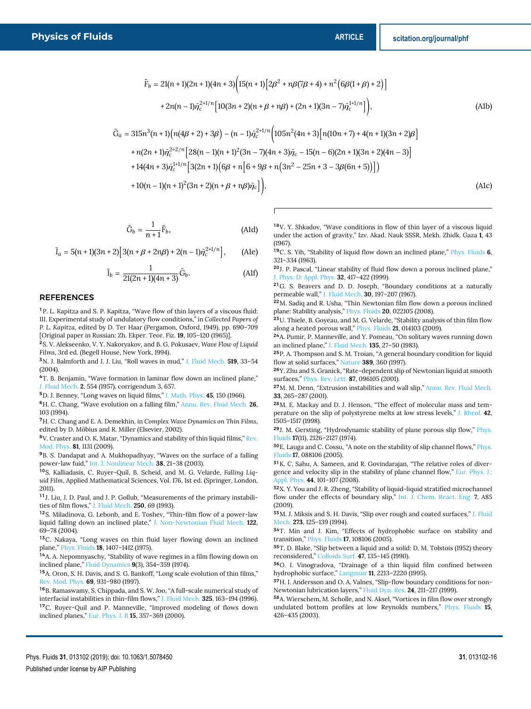$$
\tilde{F}_b = 21(n+1)(2n+1)(4n+3)\left(15(n+1)\left[2\beta^2 + n\beta(7\beta+4) + n^2\left(6\beta(1+\beta)+2\right)\right]\right) + 2n(n-1)\bar{\eta}_c^{2+1/n}\left[10(3n+2)(n+\beta+n\beta) + (2n+1)(3n-7)\bar{\eta}_c^{1+1/n}\right]\right),
$$
\n(A1b)

$$
\tilde{G}_a = 315n^3(n+1)\left(n(4\beta+2)+3\beta\right) - (n-1)\bar{\eta}_c^{2+1/n}\left(105n^2(4n+3)\left[n(10n+7)+4(n+1)(3n+2)\beta\right]\right) + n(2n+1)\bar{\eta}_c^{2+2/n}\left[28(n-1)(n+1)^2(3n-7)(4n+3)\bar{\eta}_c - 15(n-6)(2n+1)(3n+2)(4n-3)\right] + 14(4n+3)\bar{\eta}_c^{1+1/n}\left[3(2n+1)\left(6\beta+n\left[6+9\beta+n\left(3n^2-25n+3-3\beta(6n+5)\right)\right]\right)\right) + 10(n-1)(n+1)^2(3n+2)(n+\beta+n\beta)\bar{\eta}_c\right),
$$
\n(A1c)

$$
\tilde{G}_b = \frac{1}{n+1} \tilde{F}_b,\tag{A1d}
$$

$$
\tilde{I}_a = 5(n+1)(3n+2)\left[3(n+\beta+2n\beta)+2(n-1)\bar{\eta}_c^{2+1/n}\right],\qquad\text{(A1e)}
$$

$$
\tilde{I}_b = \frac{1}{21(2n+1)(4n+3)} \tilde{G}_b.
$$
 (A1f)

#### **REFERENCES**

<sup>1</sup>P. L. Kapitza and S. P. Kapitza, "Wave flow of thin layers of a viscous fluid: III. Experimental study of undulatory flow conditions," in *Collected Papers of P. L. Kapitza*, edited by D. Ter Haar (Pergamon, Oxford, 1949), pp. 690–709 [Original paper in Russian: Zh. Ekper. Teor. Fiz. **19**, 105–120 (1965)].

<sup>2</sup>S. V. Alekseenko, V. Y. Nakoryakov, and B. G. Pokusaev, *Wave Flow of Liquid Films*, 3rd ed. (Begell House, New York, 1994).

<sup>3</sup>N. J. Balmforth and J. J. Liu, "Roll waves in mud," J. Fluid Mech. **519**, 33–54 (2004).

<sup>4</sup>T. B. Benjamin, "Wave formation in laminar flow down an inclined plane," J. Fluid Mech. **2**, 554 (1957), corrigendum 3, 657.

<sup>5</sup>D. J. Benney, "Long waves on liquid films," J. Math. Phys. **45**, 150 (1966).

<sup>6</sup>H. C. Chang, "Wave evolution on a falling film," Annu. Rev. Fluid Mech. **26**, 103 (1994).

<sup>7</sup>H. C. Chang and E. A. Demekhin, in *Complex Wave Dynamics on Thin Films*, edited by D. Möbius and R. Miller (Elsevier, 2002).

<sup>8</sup>V. Craster and O. K. Matar, "Dynamics and stability of thin liquid films," Rev. Mod. Phys. **81**, 1131 (2009).

<sup>9</sup>B. S. Dandapat and A. Mukhopadhyay, "Waves on the surface of a falling power-law fuid," Int. J. Nonlinear Mech. **38**, 21–38 (2003).

<sup>10</sup>S. Kalliadasis, C. Ruyer-Quil, B. Scheid, and M. G. Velarde, *Falling Liquid Film*, Applied Mathematical Sciences, Vol. 176, 1st ed. (Springer, London, 2011).

<sup>11</sup>J. Liu, J. D. Paul, and J. P. Gollub, "Measurements of the primary instabilities of film flows," J. Fluid Mech. **250**, 69 (1993).

<sup>12</sup>S. Miladinova, G. Lebonb, and E. Toshev, "Thin-film flow of a power-law liquid falling down an inclined plate," J. Non-Newtonian Fluid Mech. **122**, 69–78 (2004).

<sup>13</sup>C. Nakaya, "Long waves on thin fluid layer flowing down an inclined plane," Phys. Fluids **18**, 1407–1412 (1975).

<sup>14</sup>A. A. Nepomnyaschy, "Stability of wave regimes in a film flowing down on inclined plane," Fluid Dynamics **9**(3), 354–359 (1974).

<sup>15</sup>A. Oron, S. H. Davis, and S. G. Bankoff, "Long scale evolution of thin films," Rev. Mod. Phys. **69**, 931–980 (1997).

<sup>16</sup>B. Ramaswamy, S. Chippada, and S. W. Joo, "A full-scale numerical study of interfacial instabilities in thin-film flows," J. Fluid Mech. **325**, 163–194 (1996). <sup>17</sup>C. Ruyer-Quil and P. Manneville, "Improved modeling of flows down inclined planes," Eur. Phys. J. B **15**, 357–369 (2000).

<sup>18</sup>V. Y. Shkadov, "Wave conditions in flow of thin layer of a viscous liquid under the action of gravity," Izv. Akad. Nauk SSSR, Mekh. Zhidk. Gaza **1**, 43 (1967).

<sup>19</sup>C. S. Yih, "Stability of liquid flow down an inclined plane," Phys. Fluids **6**, 321–334 (1963).

<sup>20</sup>J. P. Pascal, "Linear stability of fluid flow down a porous inclined plane," J. Phys. D: Appl. Phys. **32**, 417–422 (1999).

<sup>21</sup>G. S. Beavers and D. D. Joseph, "Boundary conditions at a naturally permeable wall," J. Fluid Mech. **30**, 197–207 (1967).

<sup>22</sup>M. Sadiq and R. Usha, "Thin Newtonian film flow down a porous inclined plane: Stability analysis," Phys. Fluids **20**, 022105 (2008).

<sup>23</sup>U. Thiele, B. Goyeau, and M. G. Velarde, "Stability analysis of thin film flow along a heated porous wall," Phys. Fluids **21**, 014103 (2009).

<sup>24</sup>A. Pumir, P. Manneville, and Y. Pomeau, "On solitary waves running down an inclined plane," J. Fluid Mech. **135**, 27–50 (1983).

<sup>25</sup>P. A. Thompson and S. M. Troian, "A general boundary condition for liquid flow at solid surfaces," Nature **389**, 360 (1997).

<sup>26</sup>Y. Zhu and S. Granick, "Rate-dependent slip of Newtonian liquid at smooth surfaces," Phys. Rev. Lett. **87**, 096105 (2001).

<sup>27</sup>M. M. Denn, "Extrusion instabilities and wall slip," Annu. Rev. Fluid Mech. **33**, 265–287 (2001).

<sup>28</sup>M. E. Mackay and D. J. Henson, "The effect of molecular mass and temperature on the slip of polystyrene melts at low stress levels," J. Rheol. **42**, 1505–1517 (1998).

<sup>29</sup>J. M. Gersting, "Hydrodynamic stability of plane porous slip flow," Phys. Fluids **17**(11), 2126–2127 (1974).

<sup>30</sup>E. Lauga and C. Cossu, "A note on the stability of slip channel flows," Phys. Fluids **17**, 088106 (2005).

<sup>31</sup>K. C. Sahu, A. Sameen, and R. Govindarajan, "The relative roles of divergence and velocity slip in the stability of plane channel flow," Eur. Phys. J.: Appl. Phys. **44**, 101–107 (2008).

<sup>32</sup>X. Y. You and J. R. Zheng, "Stability of liquid-liquid stratified microchannel flow under the effects of boundary slip," Int. J. Chem. React. Eng. **7**, A85 (2009).

<sup>33</sup>M. J. Miksis and S. H. Davis, "Slip over rough and coated surfaces," J. Fluid Mech. **273**, 125–139 (1994).

<sup>34</sup>T. Min and J. Kim, "Effects of hydrophobic surface on stability and transition," Phys. Fluids **17**, 108106 (2005).

<sup>35</sup>T. D. Blake, "Slip between a liquid and a solid: D. M. Tolstois (1952) theory reconsidered," Colloids Surf. **47**, 135–145 (1990).

<sup>36</sup>O. I. Vinogradova, "Drainage of a thin liquid film confined between hydrophobic surface," Langmuir **11**, 2213–2220 (1995).

<sup>37</sup>H. I. Andersson and O. A. Valnes, "Slip-flow boundary conditions for non-Newtonian lubrication layers," Fluid Dyn. Res. **24**, 211–217 (1999).

<sup>38</sup>A. Wierschem, M. Scholle, and N. Aksel, "Vortices in film flow over strongly undulated bottom profiles at low Reynolds numbers," Phys. Fluids **15**, 426–435 (2003).